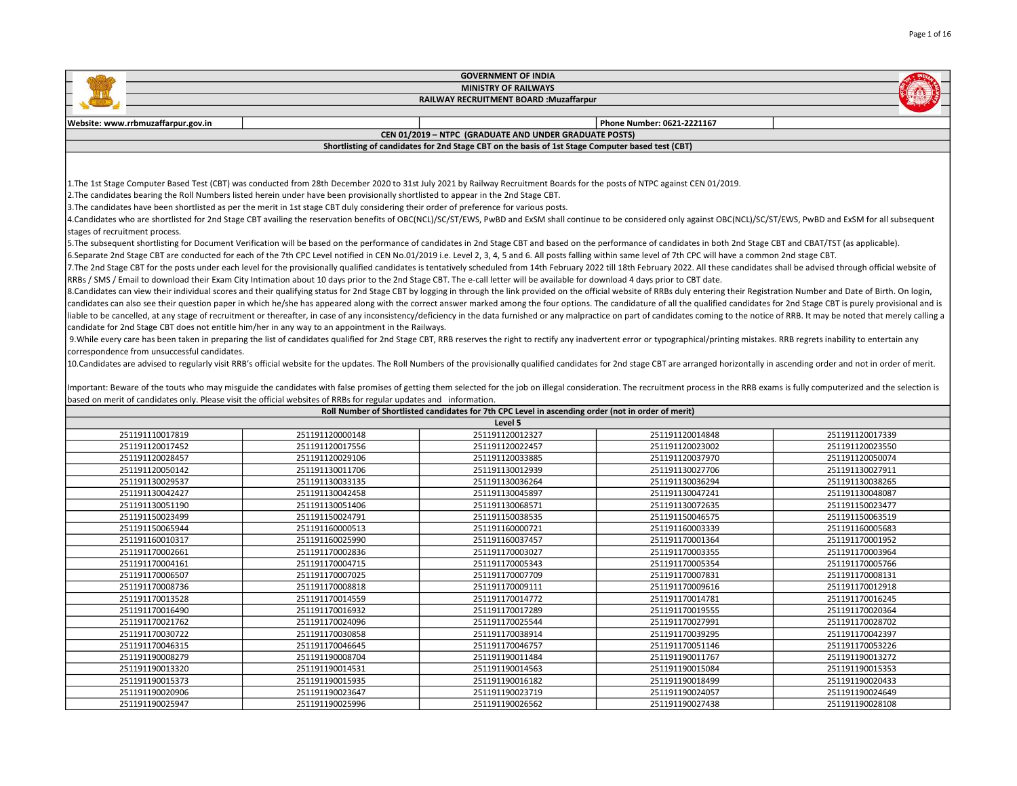| <b>GOVERNMENT OF INDIA</b>                                                                                                                                                                                                                                                                                                                                                                                                                                                                                                                                                                                                                                                                                                                                                                                                                                                                                                                                                                                                                                                                                                                                                                                                                                                                                                                                                                                                                                                                                                                                                                                                                                                                                                                                                                                                                                                                                                                                                                                                                                                                                                                                                                                                                                                                                                                                                                                                     |                                                                                                                    |                                                                                                    |                            |                 |  |  |
|--------------------------------------------------------------------------------------------------------------------------------------------------------------------------------------------------------------------------------------------------------------------------------------------------------------------------------------------------------------------------------------------------------------------------------------------------------------------------------------------------------------------------------------------------------------------------------------------------------------------------------------------------------------------------------------------------------------------------------------------------------------------------------------------------------------------------------------------------------------------------------------------------------------------------------------------------------------------------------------------------------------------------------------------------------------------------------------------------------------------------------------------------------------------------------------------------------------------------------------------------------------------------------------------------------------------------------------------------------------------------------------------------------------------------------------------------------------------------------------------------------------------------------------------------------------------------------------------------------------------------------------------------------------------------------------------------------------------------------------------------------------------------------------------------------------------------------------------------------------------------------------------------------------------------------------------------------------------------------------------------------------------------------------------------------------------------------------------------------------------------------------------------------------------------------------------------------------------------------------------------------------------------------------------------------------------------------------------------------------------------------------------------------------------------------|--------------------------------------------------------------------------------------------------------------------|----------------------------------------------------------------------------------------------------|----------------------------|-----------------|--|--|
| <b>MINISTRY OF RAILWAYS</b>                                                                                                                                                                                                                                                                                                                                                                                                                                                                                                                                                                                                                                                                                                                                                                                                                                                                                                                                                                                                                                                                                                                                                                                                                                                                                                                                                                                                                                                                                                                                                                                                                                                                                                                                                                                                                                                                                                                                                                                                                                                                                                                                                                                                                                                                                                                                                                                                    |                                                                                                                    |                                                                                                    |                            |                 |  |  |
|                                                                                                                                                                                                                                                                                                                                                                                                                                                                                                                                                                                                                                                                                                                                                                                                                                                                                                                                                                                                                                                                                                                                                                                                                                                                                                                                                                                                                                                                                                                                                                                                                                                                                                                                                                                                                                                                                                                                                                                                                                                                                                                                                                                                                                                                                                                                                                                                                                |                                                                                                                    | RAILWAY RECRUITMENT BOARD : Muzaffarpur                                                            |                            |                 |  |  |
|                                                                                                                                                                                                                                                                                                                                                                                                                                                                                                                                                                                                                                                                                                                                                                                                                                                                                                                                                                                                                                                                                                                                                                                                                                                                                                                                                                                                                                                                                                                                                                                                                                                                                                                                                                                                                                                                                                                                                                                                                                                                                                                                                                                                                                                                                                                                                                                                                                |                                                                                                                    |                                                                                                    |                            |                 |  |  |
| Website: www.rrbmuzaffarpur.gov.in                                                                                                                                                                                                                                                                                                                                                                                                                                                                                                                                                                                                                                                                                                                                                                                                                                                                                                                                                                                                                                                                                                                                                                                                                                                                                                                                                                                                                                                                                                                                                                                                                                                                                                                                                                                                                                                                                                                                                                                                                                                                                                                                                                                                                                                                                                                                                                                             |                                                                                                                    |                                                                                                    | Phone Number: 0621-2221167 |                 |  |  |
|                                                                                                                                                                                                                                                                                                                                                                                                                                                                                                                                                                                                                                                                                                                                                                                                                                                                                                                                                                                                                                                                                                                                                                                                                                                                                                                                                                                                                                                                                                                                                                                                                                                                                                                                                                                                                                                                                                                                                                                                                                                                                                                                                                                                                                                                                                                                                                                                                                |                                                                                                                    | CEN 01/2019 - NTPC (GRADUATE AND UNDER GRADUATE POSTS)                                             |                            |                 |  |  |
|                                                                                                                                                                                                                                                                                                                                                                                                                                                                                                                                                                                                                                                                                                                                                                                                                                                                                                                                                                                                                                                                                                                                                                                                                                                                                                                                                                                                                                                                                                                                                                                                                                                                                                                                                                                                                                                                                                                                                                                                                                                                                                                                                                                                                                                                                                                                                                                                                                |                                                                                                                    | Shortlisting of candidates for 2nd Stage CBT on the basis of 1st Stage Computer based test (CBT)   |                            |                 |  |  |
|                                                                                                                                                                                                                                                                                                                                                                                                                                                                                                                                                                                                                                                                                                                                                                                                                                                                                                                                                                                                                                                                                                                                                                                                                                                                                                                                                                                                                                                                                                                                                                                                                                                                                                                                                                                                                                                                                                                                                                                                                                                                                                                                                                                                                                                                                                                                                                                                                                |                                                                                                                    |                                                                                                    |                            |                 |  |  |
| 1. The 1st Stage Computer Based Test (CBT) was conducted from 28th December 2020 to 31st July 2021 by Railway Recruitment Boards for the posts of NTPC against CEN 01/2019.<br>2. The candidates bearing the Roll Numbers listed herein under have been provisionally shortlisted to appear in the 2nd Stage CBT.<br>3. The candidates have been shortlisted as per the merit in 1st stage CBT duly considering their order of preference for various posts.<br>4. Candidates who are shortlisted for 2nd Stage CBT availing the reservation benefits of OBC(NCL)/SC/ST/EWS, PwBD and ExSM shall continue to be considered only against OBC(NCL)/SC/ST/EWS, PwBD and ExSM for all subsequent<br>stages of recruitment process.                                                                                                                                                                                                                                                                                                                                                                                                                                                                                                                                                                                                                                                                                                                                                                                                                                                                                                                                                                                                                                                                                                                                                                                                                                                                                                                                                                                                                                                                                                                                                                                                                                                                                                 |                                                                                                                    |                                                                                                    |                            |                 |  |  |
| 5. The subsequent shortlisting for Document Verification will be based on the performance of candidates in 2nd Stage CBT and based on the performance of candidates in both 2nd Stage CBT and CBAT/TST (as applicable).<br>6.Separate 2nd Stage CBT are conducted for each of the 7th CPC Level notified in CEN No.01/2019 i.e. Level 2, 3, 4, 5 and 6. All posts falling within same level of 7th CPC will have a common 2nd stage CBT.<br>7. The 2nd Stage CBT for the posts under each level for the provisionally qualified candidates is tentatively scheduled from 14th February 2022 till 18th February 2022. All these candidates shall be advised through officia<br>RRBs / SMS / Email to download their Exam City Intimation about 10 days prior to the 2nd Stage CBT. The e-call letter will be available for download 4 days prior to CBT date.<br>8. Candidates can view their individual scores and their qualifying status for 2nd Stage CBT by logging in through the link provided on the official website of RRBs duly entering their Registration Number and Date of Birth<br>candidates can also see their question paper in which he/she has appeared along with the correct answer marked among the four options. The candidature of all the qualified candidates for 2nd Stage CBT is purely provisional<br>liable to be cancelled, at any stage of recruitment or thereafter, in case of any inconsistency/deficiency in the data furnished or any malpractice on part of candidates coming to the notice of RRB. It may be noted that me<br>candidate for 2nd Stage CBT does not entitle him/her in any way to an appointment in the Railways.<br>9. While every care has been taken in preparing the list of candidates qualified for 2nd Stage CBT, RRB reserves the right to rectify any inadvertent error or typographical/printing mistakes. RRB regrets inability to enter<br>correspondence from unsuccessful candidates.<br>10. Candidates are advised to regularly visit RRB's official website for the updates. The Roll Numbers of the provisionally qualified candidates for 2nd stage CBT are arranged horizontally in ascending order and not in ord<br>Important: Beware of the touts who may misguide the candidates with false promises of getting them selected for the job on illegal consideration. The recruitment process in the RRB exams is fully computerized and the selec |                                                                                                                    |                                                                                                    |                            |                 |  |  |
|                                                                                                                                                                                                                                                                                                                                                                                                                                                                                                                                                                                                                                                                                                                                                                                                                                                                                                                                                                                                                                                                                                                                                                                                                                                                                                                                                                                                                                                                                                                                                                                                                                                                                                                                                                                                                                                                                                                                                                                                                                                                                                                                                                                                                                                                                                                                                                                                                                | based on merit of candidates only. Please visit the official websites of RRBs for regular updates and information. |                                                                                                    |                            |                 |  |  |
|                                                                                                                                                                                                                                                                                                                                                                                                                                                                                                                                                                                                                                                                                                                                                                                                                                                                                                                                                                                                                                                                                                                                                                                                                                                                                                                                                                                                                                                                                                                                                                                                                                                                                                                                                                                                                                                                                                                                                                                                                                                                                                                                                                                                                                                                                                                                                                                                                                |                                                                                                                    | Roll Number of Shortlisted candidates for 7th CPC Level in ascending order (not in order of merit) |                            |                 |  |  |
|                                                                                                                                                                                                                                                                                                                                                                                                                                                                                                                                                                                                                                                                                                                                                                                                                                                                                                                                                                                                                                                                                                                                                                                                                                                                                                                                                                                                                                                                                                                                                                                                                                                                                                                                                                                                                                                                                                                                                                                                                                                                                                                                                                                                                                                                                                                                                                                                                                |                                                                                                                    | Level 5                                                                                            |                            |                 |  |  |
| 251191110017819                                                                                                                                                                                                                                                                                                                                                                                                                                                                                                                                                                                                                                                                                                                                                                                                                                                                                                                                                                                                                                                                                                                                                                                                                                                                                                                                                                                                                                                                                                                                                                                                                                                                                                                                                                                                                                                                                                                                                                                                                                                                                                                                                                                                                                                                                                                                                                                                                | 251191120000148                                                                                                    | 251191120012327                                                                                    | 251191120014848            | 251191120017339 |  |  |
| 251191120017452                                                                                                                                                                                                                                                                                                                                                                                                                                                                                                                                                                                                                                                                                                                                                                                                                                                                                                                                                                                                                                                                                                                                                                                                                                                                                                                                                                                                                                                                                                                                                                                                                                                                                                                                                                                                                                                                                                                                                                                                                                                                                                                                                                                                                                                                                                                                                                                                                | 251191120017556                                                                                                    | 251191120022457                                                                                    | 251191120023002            | 251191120023550 |  |  |
| 251191120028457                                                                                                                                                                                                                                                                                                                                                                                                                                                                                                                                                                                                                                                                                                                                                                                                                                                                                                                                                                                                                                                                                                                                                                                                                                                                                                                                                                                                                                                                                                                                                                                                                                                                                                                                                                                                                                                                                                                                                                                                                                                                                                                                                                                                                                                                                                                                                                                                                | 251191120029106                                                                                                    | 251191120033885                                                                                    | 251191120037970            | 251191120050074 |  |  |
| 251191120050142                                                                                                                                                                                                                                                                                                                                                                                                                                                                                                                                                                                                                                                                                                                                                                                                                                                                                                                                                                                                                                                                                                                                                                                                                                                                                                                                                                                                                                                                                                                                                                                                                                                                                                                                                                                                                                                                                                                                                                                                                                                                                                                                                                                                                                                                                                                                                                                                                | 251191130011706                                                                                                    | 251191130012939                                                                                    | 251191130027706            | 251191130027911 |  |  |
| 251191130029537                                                                                                                                                                                                                                                                                                                                                                                                                                                                                                                                                                                                                                                                                                                                                                                                                                                                                                                                                                                                                                                                                                                                                                                                                                                                                                                                                                                                                                                                                                                                                                                                                                                                                                                                                                                                                                                                                                                                                                                                                                                                                                                                                                                                                                                                                                                                                                                                                | 251191130033135                                                                                                    | 251191130036264                                                                                    | 251191130036294            | 251191130038265 |  |  |
| 251191130042427                                                                                                                                                                                                                                                                                                                                                                                                                                                                                                                                                                                                                                                                                                                                                                                                                                                                                                                                                                                                                                                                                                                                                                                                                                                                                                                                                                                                                                                                                                                                                                                                                                                                                                                                                                                                                                                                                                                                                                                                                                                                                                                                                                                                                                                                                                                                                                                                                | 251191130042458                                                                                                    | 251191130045897                                                                                    | 251191130047241            | 251191130048087 |  |  |
| 251191130051190                                                                                                                                                                                                                                                                                                                                                                                                                                                                                                                                                                                                                                                                                                                                                                                                                                                                                                                                                                                                                                                                                                                                                                                                                                                                                                                                                                                                                                                                                                                                                                                                                                                                                                                                                                                                                                                                                                                                                                                                                                                                                                                                                                                                                                                                                                                                                                                                                | 251191130051406                                                                                                    | 251191130068571                                                                                    | 251191130072635            | 251191150023477 |  |  |
| 251191150023499                                                                                                                                                                                                                                                                                                                                                                                                                                                                                                                                                                                                                                                                                                                                                                                                                                                                                                                                                                                                                                                                                                                                                                                                                                                                                                                                                                                                                                                                                                                                                                                                                                                                                                                                                                                                                                                                                                                                                                                                                                                                                                                                                                                                                                                                                                                                                                                                                | 251191150024791                                                                                                    | 251191150038535                                                                                    | 251191150046575            | 251191150063519 |  |  |
| 251191150065944                                                                                                                                                                                                                                                                                                                                                                                                                                                                                                                                                                                                                                                                                                                                                                                                                                                                                                                                                                                                                                                                                                                                                                                                                                                                                                                                                                                                                                                                                                                                                                                                                                                                                                                                                                                                                                                                                                                                                                                                                                                                                                                                                                                                                                                                                                                                                                                                                | 251191160000513                                                                                                    | 251191160000721                                                                                    | 251191160003339            | 251191160005683 |  |  |
| 251191160010317                                                                                                                                                                                                                                                                                                                                                                                                                                                                                                                                                                                                                                                                                                                                                                                                                                                                                                                                                                                                                                                                                                                                                                                                                                                                                                                                                                                                                                                                                                                                                                                                                                                                                                                                                                                                                                                                                                                                                                                                                                                                                                                                                                                                                                                                                                                                                                                                                | 251191160025990                                                                                                    | 251191160037457                                                                                    | 251191170001364            | 251191170001952 |  |  |
| 251191170002661                                                                                                                                                                                                                                                                                                                                                                                                                                                                                                                                                                                                                                                                                                                                                                                                                                                                                                                                                                                                                                                                                                                                                                                                                                                                                                                                                                                                                                                                                                                                                                                                                                                                                                                                                                                                                                                                                                                                                                                                                                                                                                                                                                                                                                                                                                                                                                                                                | 251191170002836                                                                                                    | 251191170003027                                                                                    | 251191170003355            | 251191170003964 |  |  |

| ______._.______ | -------------   | -------------   | ______          | --------------  |
|-----------------|-----------------|-----------------|-----------------|-----------------|
| 251191170004161 | 251191170004715 | 251191170005343 | 251191170005354 | 251191170005766 |
| 251191170006507 | 251191170007025 | 251191170007709 | 251191170007831 | 251191170008131 |
| 251191170008736 | 251191170008818 | 251191170009111 | 251191170009616 | 251191170012918 |
| 251191170013528 | 251191170014559 | 251191170014772 | 251191170014781 | 251191170016245 |
| 251191170016490 | 251191170016932 | 251191170017289 | 251191170019555 | 251191170020364 |
| 251191170021762 | 251191170024096 | 251191170025544 | 251191170027991 | 251191170028702 |
| 251191170030722 | 251191170030858 | 251191170038914 | 251191170039295 | 251191170042397 |
| 251191170046315 | 251191170046645 | 251191170046757 | 251191170051146 | 251191170053226 |
| 251191190008279 | 251191190008704 | 251191190011484 | 251191190011767 | 251191190013272 |
| 251191190013320 | 251191190014531 | 251191190014563 | 251191190015084 | 251191190015353 |
| 251191190015373 | 251191190015935 | 251191190016182 | 251191190018499 | 251191190020433 |
| 251191190020906 | 251191190023647 | 251191190023719 | 251191190024057 | 251191190024649 |
| 251191190025947 | 251191190025996 | 251191190026562 | 251191190027438 | 251191190028108 |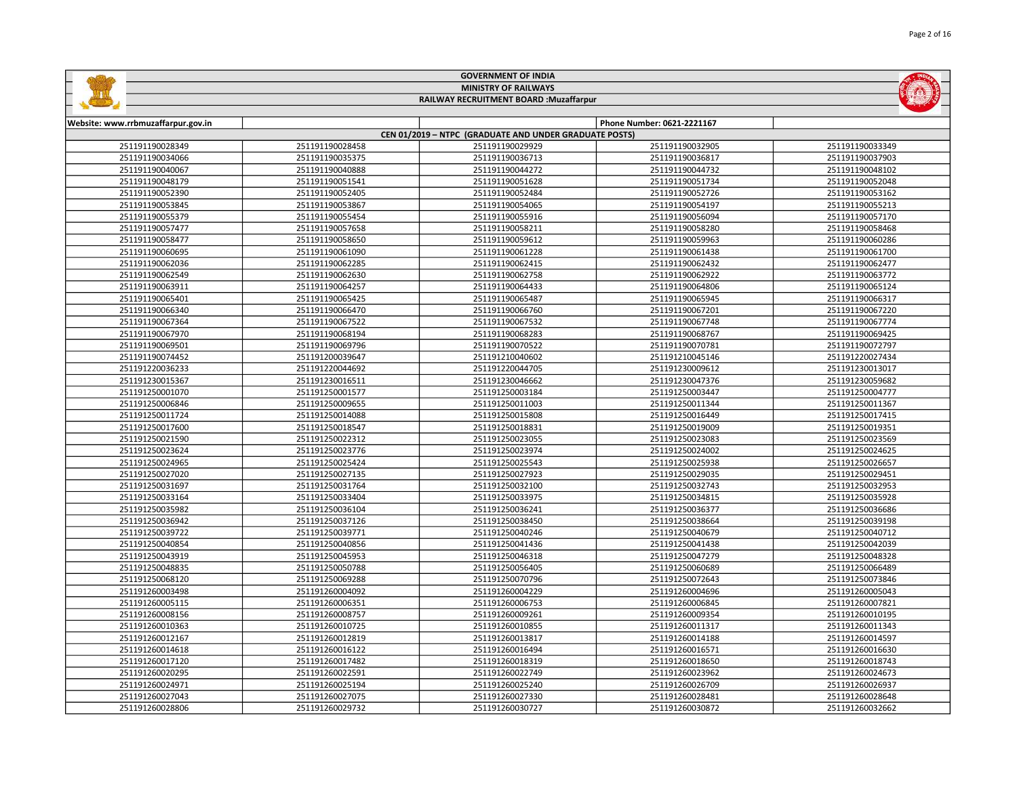| <b>GOVERNMENT OF INDIA</b>         |                             |                                                        |                            |                 |  |  |
|------------------------------------|-----------------------------|--------------------------------------------------------|----------------------------|-----------------|--|--|
|                                    | <b>MINISTRY OF RAILWAYS</b> |                                                        |                            |                 |  |  |
|                                    |                             | RAILWAY RECRUITMENT BOARD : Muzaffarpur                |                            |                 |  |  |
|                                    |                             |                                                        |                            |                 |  |  |
| Website: www.rrbmuzaffarpur.gov.in |                             |                                                        | Phone Number: 0621-2221167 |                 |  |  |
|                                    |                             | CEN 01/2019 - NTPC (GRADUATE AND UNDER GRADUATE POSTS) |                            |                 |  |  |
| 251191190028349                    | 251191190028458             | 251191190029929                                        | 251191190032905            | 251191190033349 |  |  |
| 251191190034066                    | 251191190035375             | 251191190036713                                        | 251191190036817            | 251191190037903 |  |  |
| 251191190040067                    | 251191190040888             | 251191190044272                                        | 251191190044732            | 251191190048102 |  |  |
| 251191190048179                    | 251191190051541             | 251191190051628                                        | 251191190051734            | 251191190052048 |  |  |
| 251191190052390                    | 251191190052405             | 251191190052484                                        | 251191190052726            | 251191190053162 |  |  |
| 251191190053845                    | 251191190053867             | 251191190054065                                        | 251191190054197            | 251191190055213 |  |  |
| 251191190055379                    | 251191190055454             | 251191190055916                                        | 251191190056094            | 251191190057170 |  |  |
| 251191190057477                    | 251191190057658             | 251191190058211                                        | 251191190058280            | 251191190058468 |  |  |
|                                    |                             | <u></u>                                                |                            |                 |  |  |

| 251191190048179 | 251191190051541 | 251191190051628 | 251191190051734 | 251191190052048 |
|-----------------|-----------------|-----------------|-----------------|-----------------|
| 251191190052390 | 251191190052405 | 251191190052484 | 251191190052726 | 251191190053162 |
| 251191190053845 | 251191190053867 | 251191190054065 | 251191190054197 | 251191190055213 |
| 251191190055379 | 251191190055454 | 251191190055916 | 251191190056094 | 251191190057170 |
| 251191190057477 | 251191190057658 | 251191190058211 | 251191190058280 | 251191190058468 |
| 251191190058477 | 251191190058650 | 251191190059612 | 251191190059963 | 251191190060286 |
| 251191190060695 | 251191190061090 | 251191190061228 | 251191190061438 | 251191190061700 |
| 251191190062036 | 251191190062285 | 251191190062415 | 251191190062432 | 251191190062477 |
| 251191190062549 | 251191190062630 | 251191190062758 | 251191190062922 | 251191190063772 |
| 251191190063911 | 251191190064257 | 251191190064433 | 251191190064806 | 251191190065124 |
| 251191190065401 | 251191190065425 | 251191190065487 | 251191190065945 | 251191190066317 |
| 251191190066340 | 251191190066470 | 251191190066760 | 251191190067201 | 251191190067220 |
| 251191190067364 | 251191190067522 | 251191190067532 | 251191190067748 | 251191190067774 |
| 251191190067970 | 251191190068194 | 251191190068283 | 251191190068767 | 251191190069425 |
| 251191190069501 | 251191190069796 | 251191190070522 | 251191190070781 | 251191190072797 |
| 251191190074452 | 251191200039647 | 251191210040602 | 251191210045146 | 251191220027434 |
| 251191220036233 | 251191220044692 | 251191220044705 | 251191230009612 | 251191230013017 |
| 251191230015367 | 251191230016511 | 251191230046662 | 251191230047376 | 251191230059682 |
| 251191250001070 | 251191250001577 | 251191250003184 | 251191250003447 | 251191250004777 |
| 251191250006846 | 251191250009655 | 251191250011003 | 251191250011344 | 251191250011367 |
| 251191250011724 | 251191250014088 | 251191250015808 | 251191250016449 | 251191250017415 |
| 251191250017600 | 251191250018547 | 251191250018831 | 251191250019009 | 251191250019351 |
| 251191250021590 | 251191250022312 | 251191250023055 | 251191250023083 | 251191250023569 |
| 251191250023624 | 251191250023776 | 251191250023974 | 251191250024002 | 251191250024625 |
| 251191250024965 | 251191250025424 | 251191250025543 | 251191250025938 | 251191250026657 |
| 251191250027020 | 251191250027135 | 251191250027923 | 251191250029035 | 251191250029451 |
| 251191250031697 | 251191250031764 | 251191250032100 | 251191250032743 | 251191250032953 |
| 251191250033164 | 251191250033404 | 251191250033975 | 251191250034815 | 251191250035928 |
| 251191250035982 | 251191250036104 | 251191250036241 | 251191250036377 | 251191250036686 |
| 251191250036942 | 251191250037126 | 251191250038450 | 251191250038664 | 251191250039198 |
| 251191250039722 | 251191250039771 | 251191250040246 | 251191250040679 | 251191250040712 |
| 251191250040854 | 251191250040856 | 251191250041436 | 251191250041438 | 251191250042039 |
| 251191250043919 | 251191250045953 | 251191250046318 | 251191250047279 | 251191250048328 |
| 251191250048835 | 251191250050788 | 251191250056405 | 251191250060689 | 251191250066489 |
| 251191250068120 | 251191250069288 | 251191250070796 | 251191250072643 | 251191250073846 |
| 251191260003498 | 251191260004092 | 251191260004229 | 251191260004696 | 251191260005043 |
| 251191260005115 | 251191260006351 | 251191260006753 | 251191260006845 | 251191260007821 |
| 251191260008156 | 251191260008757 | 251191260009261 | 251191260009354 | 251191260010195 |
| 251191260010363 | 251191260010725 | 251191260010855 | 251191260011317 | 251191260011343 |
| 251191260012167 | 251191260012819 | 251191260013817 | 251191260014188 | 251191260014597 |
| 251191260014618 | 251191260016122 | 251191260016494 | 251191260016571 | 251191260016630 |
| 251191260017120 | 251191260017482 | 251191260018319 | 251191260018650 | 251191260018743 |
| 251191260020295 | 251191260022591 | 251191260022749 | 251191260023962 | 251191260024673 |
| 251191260024971 | 251191260025194 | 251191260025240 | 251191260026709 | 251191260026937 |
| 251191260027043 | 251191260027075 | 251191260027330 | 251191260028481 | 251191260028648 |
| 251191260028806 | 251191260029732 | 251191260030727 | 251191260030872 | 251191260032662 |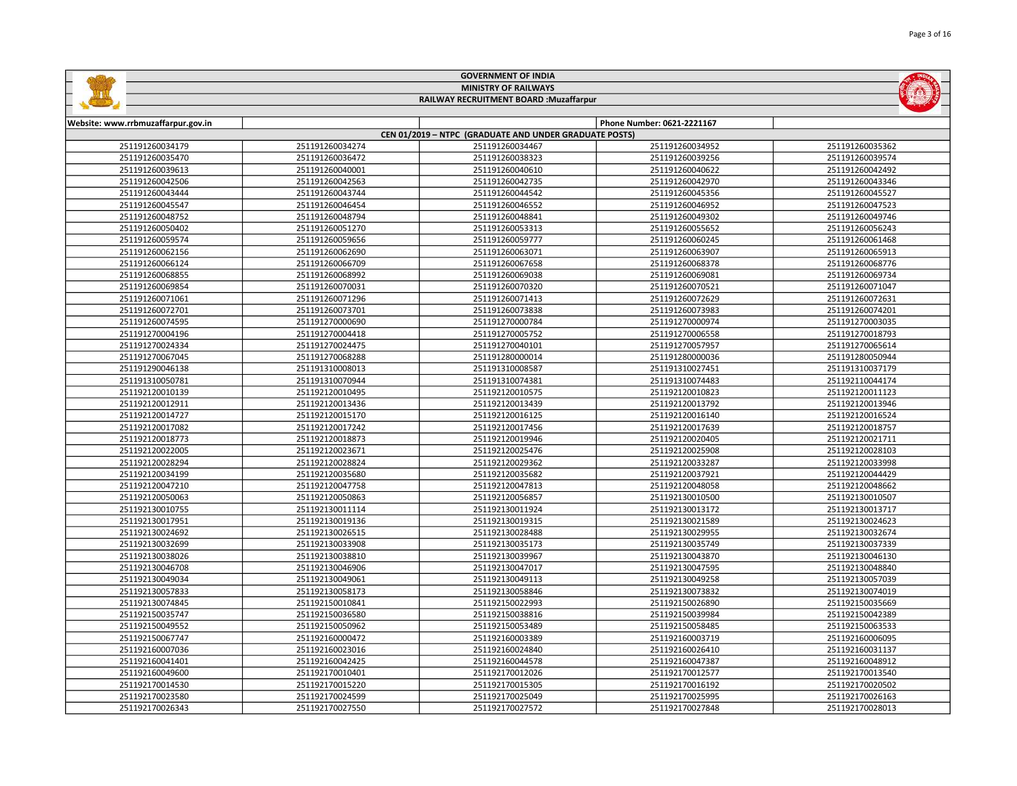| <b>MINISTRY OF RAILWAYS</b><br>RAILWAY RECRUITMENT BOARD : Muzaffarpur |                                                                                                                                                                                                                                                                                                                                                                                                                                                                                                                                                                                                                                                                                                                                                                                                                                                                                                                                                                                                                                                                                                                                                                                                                                                                                                                                                                                                                                                                                                                                                                                                                                                                                                                                                                                                                                                                                                                                                                                                                                                                                                                                                                                                                                                                                                                                                                                                                                                                                                                                                                                                                                                                                                                                                                                                                                                                                                                                                                                                                                                                                                                                                                                                                                                                                                                          |                 |                 |                 |  |
|------------------------------------------------------------------------|--------------------------------------------------------------------------------------------------------------------------------------------------------------------------------------------------------------------------------------------------------------------------------------------------------------------------------------------------------------------------------------------------------------------------------------------------------------------------------------------------------------------------------------------------------------------------------------------------------------------------------------------------------------------------------------------------------------------------------------------------------------------------------------------------------------------------------------------------------------------------------------------------------------------------------------------------------------------------------------------------------------------------------------------------------------------------------------------------------------------------------------------------------------------------------------------------------------------------------------------------------------------------------------------------------------------------------------------------------------------------------------------------------------------------------------------------------------------------------------------------------------------------------------------------------------------------------------------------------------------------------------------------------------------------------------------------------------------------------------------------------------------------------------------------------------------------------------------------------------------------------------------------------------------------------------------------------------------------------------------------------------------------------------------------------------------------------------------------------------------------------------------------------------------------------------------------------------------------------------------------------------------------------------------------------------------------------------------------------------------------------------------------------------------------------------------------------------------------------------------------------------------------------------------------------------------------------------------------------------------------------------------------------------------------------------------------------------------------------------------------------------------------------------------------------------------------------------------------------------------------------------------------------------------------------------------------------------------------------------------------------------------------------------------------------------------------------------------------------------------------------------------------------------------------------------------------------------------------------------------------------------------------------------------------------------------------|-----------------|-----------------|-----------------|--|
|                                                                        |                                                                                                                                                                                                                                                                                                                                                                                                                                                                                                                                                                                                                                                                                                                                                                                                                                                                                                                                                                                                                                                                                                                                                                                                                                                                                                                                                                                                                                                                                                                                                                                                                                                                                                                                                                                                                                                                                                                                                                                                                                                                                                                                                                                                                                                                                                                                                                                                                                                                                                                                                                                                                                                                                                                                                                                                                                                                                                                                                                                                                                                                                                                                                                                                                                                                                                                          |                 |                 |                 |  |
|                                                                        |                                                                                                                                                                                                                                                                                                                                                                                                                                                                                                                                                                                                                                                                                                                                                                                                                                                                                                                                                                                                                                                                                                                                                                                                                                                                                                                                                                                                                                                                                                                                                                                                                                                                                                                                                                                                                                                                                                                                                                                                                                                                                                                                                                                                                                                                                                                                                                                                                                                                                                                                                                                                                                                                                                                                                                                                                                                                                                                                                                                                                                                                                                                                                                                                                                                                                                                          |                 |                 |                 |  |
|                                                                        |                                                                                                                                                                                                                                                                                                                                                                                                                                                                                                                                                                                                                                                                                                                                                                                                                                                                                                                                                                                                                                                                                                                                                                                                                                                                                                                                                                                                                                                                                                                                                                                                                                                                                                                                                                                                                                                                                                                                                                                                                                                                                                                                                                                                                                                                                                                                                                                                                                                                                                                                                                                                                                                                                                                                                                                                                                                                                                                                                                                                                                                                                                                                                                                                                                                                                                                          |                 |                 |                 |  |
|                                                                        | <b>OUVERTHERT OF HYDIA</b><br>Website: www.rrbmuzaffarpur.gov.in<br>Phone Number: 0621-2221167<br>CEN 01/2019 - NTPC (GRADUATE AND UNDER GRADUATE POSTS)<br>251191260034179<br>251191260034274<br>251191260034467<br>251191260034952<br>251191260035362<br>251191260035470<br>251191260036472<br>251191260038323<br>251191260039256<br>251191260039574<br>251191260039613<br>251191260040001<br>251191260040610<br>251191260040622<br>251191260042492<br>251191260042563<br>251191260042970<br>251191260042506<br>251191260042735<br>251191260043346<br>251191260043444<br>251191260043744<br>251191260044542<br>251191260045356<br>251191260045527<br>251191260045547<br>251191260046454<br>251191260046552<br>251191260046952<br>251191260047523<br>251191260048794<br>251191260049302<br>251191260048752<br>251191260048841<br>251191260049746<br>251191260055652<br>251191260050402<br>251191260051270<br>251191260053313<br>251191260056243<br>251191260059574<br>251191260059656<br>251191260059777<br>251191260060245<br>251191260061468<br>251191260062156<br>251191260062690<br>251191260063071<br>251191260063907<br>251191260065913<br>251191260066124<br>251191260066709<br>251191260067658<br>251191260068378<br>251191260068776<br>251191260068855<br>251191260068992<br>251191260069081<br>251191260069734<br>251191260069038<br>251191260069854<br>251191260070031<br>251191260070320<br>251191260070521<br>251191260071047<br>251191260071296<br>251191260071413<br>251191260072629<br>251191260072631<br>251191260071061<br>251191260072701<br>251191260073701<br>251191260073838<br>251191260073983<br>251191260074201<br>251191270000690<br>251191270003035<br>251191260074595<br>251191270000784<br>251191270000974<br>251191270004196<br>251191270004418<br>251191270005752<br>251191270006558<br>251191270018793<br>251191270024475<br>251191270040101<br>251191270057957<br>251191270065614<br>251191270024334<br>251191270068288<br>251191270067045<br>251191280000014<br>251191280000036<br>251191280050944<br>251191290046138<br>251191310008013<br>251191310008587<br>251191310027451<br>251191310037179<br>251191310050781<br>251191310070944<br>251191310074381<br>251191310074483<br>251192110044174<br>251192120010139<br>251192120010495<br>251192120010575<br>251192120010823<br>251192120011123<br>251192120012911<br>251192120013436<br>251192120013439<br>251192120013792<br>251192120013946<br>251192120015170<br>251192120016125<br>251192120016140<br>251192120016524<br>251192120014727<br>251192120017082<br>251192120017242<br>251192120017456<br>251192120017639<br>251192120018757<br>251192120018873<br>251192120020405<br>251192120018773<br>251192120019946<br>251192120021711<br>251192120022005<br>251192120023671<br>251192120025476<br>251192120025908<br>251192120028103<br>251192120028824<br>251192120028294<br>251192120029362<br>251192120033287<br>251192120033998<br>251192120035680<br>251192120035682<br>251192120037921<br>251192120034199<br>251192120044429<br>251192120047210<br>251192120047758<br>251192120047813<br>251192120048058<br>251192120048662<br>251192120050863<br>251192120056857<br>251192130010500<br>251192120050063<br>251192130010507<br>251192130010755<br>251192130011114<br>251192130011924<br>251192130013172<br>251192130013717 |                 |                 |                 |  |
|                                                                        |                                                                                                                                                                                                                                                                                                                                                                                                                                                                                                                                                                                                                                                                                                                                                                                                                                                                                                                                                                                                                                                                                                                                                                                                                                                                                                                                                                                                                                                                                                                                                                                                                                                                                                                                                                                                                                                                                                                                                                                                                                                                                                                                                                                                                                                                                                                                                                                                                                                                                                                                                                                                                                                                                                                                                                                                                                                                                                                                                                                                                                                                                                                                                                                                                                                                                                                          |                 |                 |                 |  |
|                                                                        |                                                                                                                                                                                                                                                                                                                                                                                                                                                                                                                                                                                                                                                                                                                                                                                                                                                                                                                                                                                                                                                                                                                                                                                                                                                                                                                                                                                                                                                                                                                                                                                                                                                                                                                                                                                                                                                                                                                                                                                                                                                                                                                                                                                                                                                                                                                                                                                                                                                                                                                                                                                                                                                                                                                                                                                                                                                                                                                                                                                                                                                                                                                                                                                                                                                                                                                          |                 |                 |                 |  |
|                                                                        |                                                                                                                                                                                                                                                                                                                                                                                                                                                                                                                                                                                                                                                                                                                                                                                                                                                                                                                                                                                                                                                                                                                                                                                                                                                                                                                                                                                                                                                                                                                                                                                                                                                                                                                                                                                                                                                                                                                                                                                                                                                                                                                                                                                                                                                                                                                                                                                                                                                                                                                                                                                                                                                                                                                                                                                                                                                                                                                                                                                                                                                                                                                                                                                                                                                                                                                          |                 |                 |                 |  |
|                                                                        |                                                                                                                                                                                                                                                                                                                                                                                                                                                                                                                                                                                                                                                                                                                                                                                                                                                                                                                                                                                                                                                                                                                                                                                                                                                                                                                                                                                                                                                                                                                                                                                                                                                                                                                                                                                                                                                                                                                                                                                                                                                                                                                                                                                                                                                                                                                                                                                                                                                                                                                                                                                                                                                                                                                                                                                                                                                                                                                                                                                                                                                                                                                                                                                                                                                                                                                          |                 |                 |                 |  |
|                                                                        |                                                                                                                                                                                                                                                                                                                                                                                                                                                                                                                                                                                                                                                                                                                                                                                                                                                                                                                                                                                                                                                                                                                                                                                                                                                                                                                                                                                                                                                                                                                                                                                                                                                                                                                                                                                                                                                                                                                                                                                                                                                                                                                                                                                                                                                                                                                                                                                                                                                                                                                                                                                                                                                                                                                                                                                                                                                                                                                                                                                                                                                                                                                                                                                                                                                                                                                          |                 |                 |                 |  |
|                                                                        |                                                                                                                                                                                                                                                                                                                                                                                                                                                                                                                                                                                                                                                                                                                                                                                                                                                                                                                                                                                                                                                                                                                                                                                                                                                                                                                                                                                                                                                                                                                                                                                                                                                                                                                                                                                                                                                                                                                                                                                                                                                                                                                                                                                                                                                                                                                                                                                                                                                                                                                                                                                                                                                                                                                                                                                                                                                                                                                                                                                                                                                                                                                                                                                                                                                                                                                          |                 |                 |                 |  |
|                                                                        |                                                                                                                                                                                                                                                                                                                                                                                                                                                                                                                                                                                                                                                                                                                                                                                                                                                                                                                                                                                                                                                                                                                                                                                                                                                                                                                                                                                                                                                                                                                                                                                                                                                                                                                                                                                                                                                                                                                                                                                                                                                                                                                                                                                                                                                                                                                                                                                                                                                                                                                                                                                                                                                                                                                                                                                                                                                                                                                                                                                                                                                                                                                                                                                                                                                                                                                          |                 |                 |                 |  |
|                                                                        |                                                                                                                                                                                                                                                                                                                                                                                                                                                                                                                                                                                                                                                                                                                                                                                                                                                                                                                                                                                                                                                                                                                                                                                                                                                                                                                                                                                                                                                                                                                                                                                                                                                                                                                                                                                                                                                                                                                                                                                                                                                                                                                                                                                                                                                                                                                                                                                                                                                                                                                                                                                                                                                                                                                                                                                                                                                                                                                                                                                                                                                                                                                                                                                                                                                                                                                          |                 |                 |                 |  |
|                                                                        |                                                                                                                                                                                                                                                                                                                                                                                                                                                                                                                                                                                                                                                                                                                                                                                                                                                                                                                                                                                                                                                                                                                                                                                                                                                                                                                                                                                                                                                                                                                                                                                                                                                                                                                                                                                                                                                                                                                                                                                                                                                                                                                                                                                                                                                                                                                                                                                                                                                                                                                                                                                                                                                                                                                                                                                                                                                                                                                                                                                                                                                                                                                                                                                                                                                                                                                          |                 |                 |                 |  |
|                                                                        |                                                                                                                                                                                                                                                                                                                                                                                                                                                                                                                                                                                                                                                                                                                                                                                                                                                                                                                                                                                                                                                                                                                                                                                                                                                                                                                                                                                                                                                                                                                                                                                                                                                                                                                                                                                                                                                                                                                                                                                                                                                                                                                                                                                                                                                                                                                                                                                                                                                                                                                                                                                                                                                                                                                                                                                                                                                                                                                                                                                                                                                                                                                                                                                                                                                                                                                          |                 |                 |                 |  |
|                                                                        |                                                                                                                                                                                                                                                                                                                                                                                                                                                                                                                                                                                                                                                                                                                                                                                                                                                                                                                                                                                                                                                                                                                                                                                                                                                                                                                                                                                                                                                                                                                                                                                                                                                                                                                                                                                                                                                                                                                                                                                                                                                                                                                                                                                                                                                                                                                                                                                                                                                                                                                                                                                                                                                                                                                                                                                                                                                                                                                                                                                                                                                                                                                                                                                                                                                                                                                          |                 |                 |                 |  |
|                                                                        |                                                                                                                                                                                                                                                                                                                                                                                                                                                                                                                                                                                                                                                                                                                                                                                                                                                                                                                                                                                                                                                                                                                                                                                                                                                                                                                                                                                                                                                                                                                                                                                                                                                                                                                                                                                                                                                                                                                                                                                                                                                                                                                                                                                                                                                                                                                                                                                                                                                                                                                                                                                                                                                                                                                                                                                                                                                                                                                                                                                                                                                                                                                                                                                                                                                                                                                          |                 |                 |                 |  |
|                                                                        |                                                                                                                                                                                                                                                                                                                                                                                                                                                                                                                                                                                                                                                                                                                                                                                                                                                                                                                                                                                                                                                                                                                                                                                                                                                                                                                                                                                                                                                                                                                                                                                                                                                                                                                                                                                                                                                                                                                                                                                                                                                                                                                                                                                                                                                                                                                                                                                                                                                                                                                                                                                                                                                                                                                                                                                                                                                                                                                                                                                                                                                                                                                                                                                                                                                                                                                          |                 |                 |                 |  |
|                                                                        |                                                                                                                                                                                                                                                                                                                                                                                                                                                                                                                                                                                                                                                                                                                                                                                                                                                                                                                                                                                                                                                                                                                                                                                                                                                                                                                                                                                                                                                                                                                                                                                                                                                                                                                                                                                                                                                                                                                                                                                                                                                                                                                                                                                                                                                                                                                                                                                                                                                                                                                                                                                                                                                                                                                                                                                                                                                                                                                                                                                                                                                                                                                                                                                                                                                                                                                          |                 |                 |                 |  |
|                                                                        |                                                                                                                                                                                                                                                                                                                                                                                                                                                                                                                                                                                                                                                                                                                                                                                                                                                                                                                                                                                                                                                                                                                                                                                                                                                                                                                                                                                                                                                                                                                                                                                                                                                                                                                                                                                                                                                                                                                                                                                                                                                                                                                                                                                                                                                                                                                                                                                                                                                                                                                                                                                                                                                                                                                                                                                                                                                                                                                                                                                                                                                                                                                                                                                                                                                                                                                          |                 |                 |                 |  |
|                                                                        |                                                                                                                                                                                                                                                                                                                                                                                                                                                                                                                                                                                                                                                                                                                                                                                                                                                                                                                                                                                                                                                                                                                                                                                                                                                                                                                                                                                                                                                                                                                                                                                                                                                                                                                                                                                                                                                                                                                                                                                                                                                                                                                                                                                                                                                                                                                                                                                                                                                                                                                                                                                                                                                                                                                                                                                                                                                                                                                                                                                                                                                                                                                                                                                                                                                                                                                          |                 |                 |                 |  |
|                                                                        |                                                                                                                                                                                                                                                                                                                                                                                                                                                                                                                                                                                                                                                                                                                                                                                                                                                                                                                                                                                                                                                                                                                                                                                                                                                                                                                                                                                                                                                                                                                                                                                                                                                                                                                                                                                                                                                                                                                                                                                                                                                                                                                                                                                                                                                                                                                                                                                                                                                                                                                                                                                                                                                                                                                                                                                                                                                                                                                                                                                                                                                                                                                                                                                                                                                                                                                          |                 |                 |                 |  |
|                                                                        |                                                                                                                                                                                                                                                                                                                                                                                                                                                                                                                                                                                                                                                                                                                                                                                                                                                                                                                                                                                                                                                                                                                                                                                                                                                                                                                                                                                                                                                                                                                                                                                                                                                                                                                                                                                                                                                                                                                                                                                                                                                                                                                                                                                                                                                                                                                                                                                                                                                                                                                                                                                                                                                                                                                                                                                                                                                                                                                                                                                                                                                                                                                                                                                                                                                                                                                          |                 |                 |                 |  |
|                                                                        |                                                                                                                                                                                                                                                                                                                                                                                                                                                                                                                                                                                                                                                                                                                                                                                                                                                                                                                                                                                                                                                                                                                                                                                                                                                                                                                                                                                                                                                                                                                                                                                                                                                                                                                                                                                                                                                                                                                                                                                                                                                                                                                                                                                                                                                                                                                                                                                                                                                                                                                                                                                                                                                                                                                                                                                                                                                                                                                                                                                                                                                                                                                                                                                                                                                                                                                          |                 |                 |                 |  |
|                                                                        |                                                                                                                                                                                                                                                                                                                                                                                                                                                                                                                                                                                                                                                                                                                                                                                                                                                                                                                                                                                                                                                                                                                                                                                                                                                                                                                                                                                                                                                                                                                                                                                                                                                                                                                                                                                                                                                                                                                                                                                                                                                                                                                                                                                                                                                                                                                                                                                                                                                                                                                                                                                                                                                                                                                                                                                                                                                                                                                                                                                                                                                                                                                                                                                                                                                                                                                          |                 |                 |                 |  |
|                                                                        |                                                                                                                                                                                                                                                                                                                                                                                                                                                                                                                                                                                                                                                                                                                                                                                                                                                                                                                                                                                                                                                                                                                                                                                                                                                                                                                                                                                                                                                                                                                                                                                                                                                                                                                                                                                                                                                                                                                                                                                                                                                                                                                                                                                                                                                                                                                                                                                                                                                                                                                                                                                                                                                                                                                                                                                                                                                                                                                                                                                                                                                                                                                                                                                                                                                                                                                          |                 |                 |                 |  |
|                                                                        |                                                                                                                                                                                                                                                                                                                                                                                                                                                                                                                                                                                                                                                                                                                                                                                                                                                                                                                                                                                                                                                                                                                                                                                                                                                                                                                                                                                                                                                                                                                                                                                                                                                                                                                                                                                                                                                                                                                                                                                                                                                                                                                                                                                                                                                                                                                                                                                                                                                                                                                                                                                                                                                                                                                                                                                                                                                                                                                                                                                                                                                                                                                                                                                                                                                                                                                          |                 |                 |                 |  |
|                                                                        |                                                                                                                                                                                                                                                                                                                                                                                                                                                                                                                                                                                                                                                                                                                                                                                                                                                                                                                                                                                                                                                                                                                                                                                                                                                                                                                                                                                                                                                                                                                                                                                                                                                                                                                                                                                                                                                                                                                                                                                                                                                                                                                                                                                                                                                                                                                                                                                                                                                                                                                                                                                                                                                                                                                                                                                                                                                                                                                                                                                                                                                                                                                                                                                                                                                                                                                          |                 |                 |                 |  |
|                                                                        |                                                                                                                                                                                                                                                                                                                                                                                                                                                                                                                                                                                                                                                                                                                                                                                                                                                                                                                                                                                                                                                                                                                                                                                                                                                                                                                                                                                                                                                                                                                                                                                                                                                                                                                                                                                                                                                                                                                                                                                                                                                                                                                                                                                                                                                                                                                                                                                                                                                                                                                                                                                                                                                                                                                                                                                                                                                                                                                                                                                                                                                                                                                                                                                                                                                                                                                          |                 |                 |                 |  |
|                                                                        |                                                                                                                                                                                                                                                                                                                                                                                                                                                                                                                                                                                                                                                                                                                                                                                                                                                                                                                                                                                                                                                                                                                                                                                                                                                                                                                                                                                                                                                                                                                                                                                                                                                                                                                                                                                                                                                                                                                                                                                                                                                                                                                                                                                                                                                                                                                                                                                                                                                                                                                                                                                                                                                                                                                                                                                                                                                                                                                                                                                                                                                                                                                                                                                                                                                                                                                          |                 |                 |                 |  |
|                                                                        |                                                                                                                                                                                                                                                                                                                                                                                                                                                                                                                                                                                                                                                                                                                                                                                                                                                                                                                                                                                                                                                                                                                                                                                                                                                                                                                                                                                                                                                                                                                                                                                                                                                                                                                                                                                                                                                                                                                                                                                                                                                                                                                                                                                                                                                                                                                                                                                                                                                                                                                                                                                                                                                                                                                                                                                                                                                                                                                                                                                                                                                                                                                                                                                                                                                                                                                          |                 |                 |                 |  |
|                                                                        |                                                                                                                                                                                                                                                                                                                                                                                                                                                                                                                                                                                                                                                                                                                                                                                                                                                                                                                                                                                                                                                                                                                                                                                                                                                                                                                                                                                                                                                                                                                                                                                                                                                                                                                                                                                                                                                                                                                                                                                                                                                                                                                                                                                                                                                                                                                                                                                                                                                                                                                                                                                                                                                                                                                                                                                                                                                                                                                                                                                                                                                                                                                                                                                                                                                                                                                          |                 |                 |                 |  |
|                                                                        |                                                                                                                                                                                                                                                                                                                                                                                                                                                                                                                                                                                                                                                                                                                                                                                                                                                                                                                                                                                                                                                                                                                                                                                                                                                                                                                                                                                                                                                                                                                                                                                                                                                                                                                                                                                                                                                                                                                                                                                                                                                                                                                                                                                                                                                                                                                                                                                                                                                                                                                                                                                                                                                                                                                                                                                                                                                                                                                                                                                                                                                                                                                                                                                                                                                                                                                          |                 |                 |                 |  |
|                                                                        |                                                                                                                                                                                                                                                                                                                                                                                                                                                                                                                                                                                                                                                                                                                                                                                                                                                                                                                                                                                                                                                                                                                                                                                                                                                                                                                                                                                                                                                                                                                                                                                                                                                                                                                                                                                                                                                                                                                                                                                                                                                                                                                                                                                                                                                                                                                                                                                                                                                                                                                                                                                                                                                                                                                                                                                                                                                                                                                                                                                                                                                                                                                                                                                                                                                                                                                          |                 |                 |                 |  |
|                                                                        |                                                                                                                                                                                                                                                                                                                                                                                                                                                                                                                                                                                                                                                                                                                                                                                                                                                                                                                                                                                                                                                                                                                                                                                                                                                                                                                                                                                                                                                                                                                                                                                                                                                                                                                                                                                                                                                                                                                                                                                                                                                                                                                                                                                                                                                                                                                                                                                                                                                                                                                                                                                                                                                                                                                                                                                                                                                                                                                                                                                                                                                                                                                                                                                                                                                                                                                          |                 |                 |                 |  |
|                                                                        |                                                                                                                                                                                                                                                                                                                                                                                                                                                                                                                                                                                                                                                                                                                                                                                                                                                                                                                                                                                                                                                                                                                                                                                                                                                                                                                                                                                                                                                                                                                                                                                                                                                                                                                                                                                                                                                                                                                                                                                                                                                                                                                                                                                                                                                                                                                                                                                                                                                                                                                                                                                                                                                                                                                                                                                                                                                                                                                                                                                                                                                                                                                                                                                                                                                                                                                          |                 |                 |                 |  |
|                                                                        |                                                                                                                                                                                                                                                                                                                                                                                                                                                                                                                                                                                                                                                                                                                                                                                                                                                                                                                                                                                                                                                                                                                                                                                                                                                                                                                                                                                                                                                                                                                                                                                                                                                                                                                                                                                                                                                                                                                                                                                                                                                                                                                                                                                                                                                                                                                                                                                                                                                                                                                                                                                                                                                                                                                                                                                                                                                                                                                                                                                                                                                                                                                                                                                                                                                                                                                          |                 |                 |                 |  |
| 251192130017951                                                        | 251192130019136                                                                                                                                                                                                                                                                                                                                                                                                                                                                                                                                                                                                                                                                                                                                                                                                                                                                                                                                                                                                                                                                                                                                                                                                                                                                                                                                                                                                                                                                                                                                                                                                                                                                                                                                                                                                                                                                                                                                                                                                                                                                                                                                                                                                                                                                                                                                                                                                                                                                                                                                                                                                                                                                                                                                                                                                                                                                                                                                                                                                                                                                                                                                                                                                                                                                                                          | 251192130019315 | 251192130021589 | 251192130024623 |  |
| 251192130024692                                                        | 251192130026515                                                                                                                                                                                                                                                                                                                                                                                                                                                                                                                                                                                                                                                                                                                                                                                                                                                                                                                                                                                                                                                                                                                                                                                                                                                                                                                                                                                                                                                                                                                                                                                                                                                                                                                                                                                                                                                                                                                                                                                                                                                                                                                                                                                                                                                                                                                                                                                                                                                                                                                                                                                                                                                                                                                                                                                                                                                                                                                                                                                                                                                                                                                                                                                                                                                                                                          | 251192130028488 | 251192130029955 | 251192130032674 |  |
| 251192130032699                                                        | 251192130033908                                                                                                                                                                                                                                                                                                                                                                                                                                                                                                                                                                                                                                                                                                                                                                                                                                                                                                                                                                                                                                                                                                                                                                                                                                                                                                                                                                                                                                                                                                                                                                                                                                                                                                                                                                                                                                                                                                                                                                                                                                                                                                                                                                                                                                                                                                                                                                                                                                                                                                                                                                                                                                                                                                                                                                                                                                                                                                                                                                                                                                                                                                                                                                                                                                                                                                          | 251192130035173 | 251192130035749 | 251192130037339 |  |
| 251192130038026                                                        | 251192130038810                                                                                                                                                                                                                                                                                                                                                                                                                                                                                                                                                                                                                                                                                                                                                                                                                                                                                                                                                                                                                                                                                                                                                                                                                                                                                                                                                                                                                                                                                                                                                                                                                                                                                                                                                                                                                                                                                                                                                                                                                                                                                                                                                                                                                                                                                                                                                                                                                                                                                                                                                                                                                                                                                                                                                                                                                                                                                                                                                                                                                                                                                                                                                                                                                                                                                                          | 251192130039967 | 251192130043870 | 251192130046130 |  |
| 251192130046708                                                        | 251192130046906                                                                                                                                                                                                                                                                                                                                                                                                                                                                                                                                                                                                                                                                                                                                                                                                                                                                                                                                                                                                                                                                                                                                                                                                                                                                                                                                                                                                                                                                                                                                                                                                                                                                                                                                                                                                                                                                                                                                                                                                                                                                                                                                                                                                                                                                                                                                                                                                                                                                                                                                                                                                                                                                                                                                                                                                                                                                                                                                                                                                                                                                                                                                                                                                                                                                                                          | 251192130047017 | 251192130047595 | 251192130048840 |  |
| 251192130049034                                                        | 251192130049061                                                                                                                                                                                                                                                                                                                                                                                                                                                                                                                                                                                                                                                                                                                                                                                                                                                                                                                                                                                                                                                                                                                                                                                                                                                                                                                                                                                                                                                                                                                                                                                                                                                                                                                                                                                                                                                                                                                                                                                                                                                                                                                                                                                                                                                                                                                                                                                                                                                                                                                                                                                                                                                                                                                                                                                                                                                                                                                                                                                                                                                                                                                                                                                                                                                                                                          | 251192130049113 | 251192130049258 | 251192130057039 |  |
| 251192130057833                                                        | 251192130058173                                                                                                                                                                                                                                                                                                                                                                                                                                                                                                                                                                                                                                                                                                                                                                                                                                                                                                                                                                                                                                                                                                                                                                                                                                                                                                                                                                                                                                                                                                                                                                                                                                                                                                                                                                                                                                                                                                                                                                                                                                                                                                                                                                                                                                                                                                                                                                                                                                                                                                                                                                                                                                                                                                                                                                                                                                                                                                                                                                                                                                                                                                                                                                                                                                                                                                          | 251192130058846 | 251192130073832 | 251192130074019 |  |
| 251192130074845                                                        | 251192150010841                                                                                                                                                                                                                                                                                                                                                                                                                                                                                                                                                                                                                                                                                                                                                                                                                                                                                                                                                                                                                                                                                                                                                                                                                                                                                                                                                                                                                                                                                                                                                                                                                                                                                                                                                                                                                                                                                                                                                                                                                                                                                                                                                                                                                                                                                                                                                                                                                                                                                                                                                                                                                                                                                                                                                                                                                                                                                                                                                                                                                                                                                                                                                                                                                                                                                                          | 251192150022993 | 251192150026890 | 251192150035669 |  |
|                                                                        |                                                                                                                                                                                                                                                                                                                                                                                                                                                                                                                                                                                                                                                                                                                                                                                                                                                                                                                                                                                                                                                                                                                                                                                                                                                                                                                                                                                                                                                                                                                                                                                                                                                                                                                                                                                                                                                                                                                                                                                                                                                                                                                                                                                                                                                                                                                                                                                                                                                                                                                                                                                                                                                                                                                                                                                                                                                                                                                                                                                                                                                                                                                                                                                                                                                                                                                          |                 |                 |                 |  |

 251192150036580 251192150038816 251192150039984 251192150042389 251192150050962 251192150053489 251192150058485 251192150063533 251192160000472 251192160003389 251192160003719 251192160006095 251192160023016 251192160024840 251192160026410 251192160031137 251192160042425 251192160044578 251192160047387 251192160048912 251192170010401 251192170012026 251192170012577 251192170013540 251192170015220 251192170015305 251192170016192 251192170020502 251192170024599 251192170025049 251192170025995 251192170026163 251192170027550 251192170027572 251192170027848 251192170028013

GOVERNMENT OF INDIA

 $-$  1000  $-$ 

**The Co** 



**Contract Contract**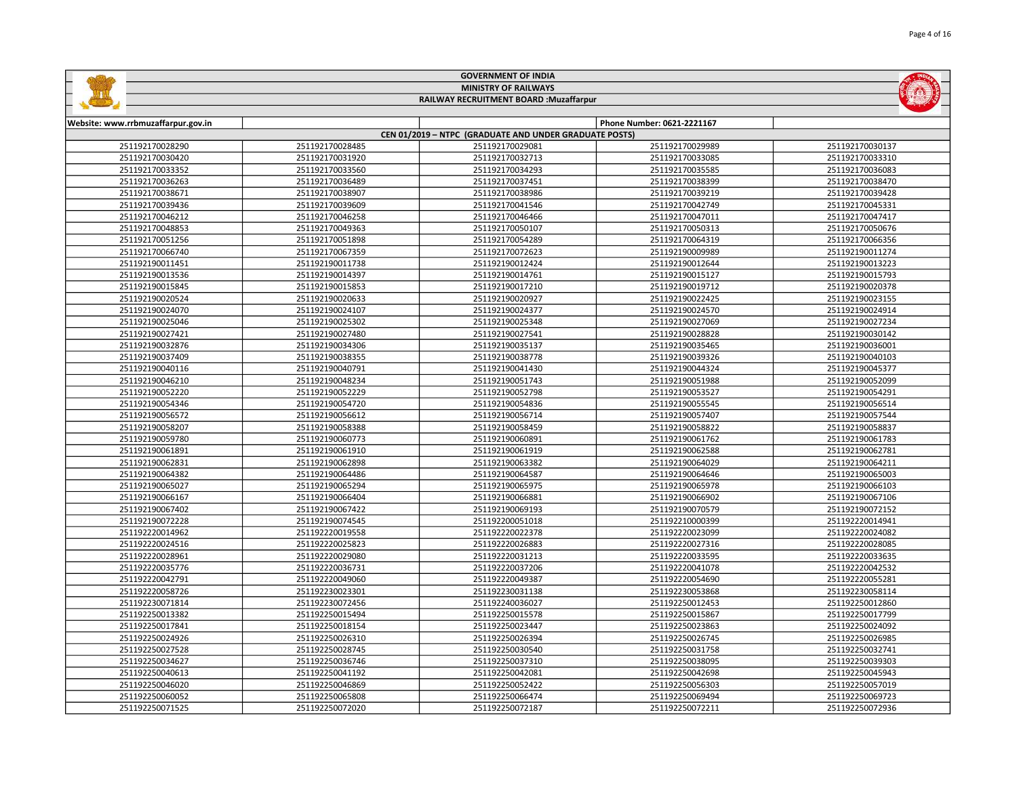|                                    |                 | <b>MINISTRY OF RAILWAYS</b><br>RAILWAY RECRUITMENT BOARD : Muzaffarpur |                            |                 |
|------------------------------------|-----------------|------------------------------------------------------------------------|----------------------------|-----------------|
|                                    |                 |                                                                        |                            |                 |
| Website: www.rrbmuzaffarpur.gov.in |                 |                                                                        | Phone Number: 0621-2221167 |                 |
|                                    |                 | CEN 01/2019 - NTPC (GRADUATE AND UNDER GRADUATE POSTS)                 |                            |                 |
| 251192170028290                    | 251192170028485 | 251192170029081                                                        | 251192170029989            | 251192170030137 |
| 251192170030420                    | 251192170031920 | 251192170032713                                                        | 251192170033085            | 251192170033310 |
| 251192170033352                    | 251192170033560 | 251192170034293                                                        | 251192170035585            | 251192170036083 |
| 251192170036263                    | 251192170036489 | 251192170037451                                                        | 251192170038399            | 251192170038470 |
| 251192170038671                    | 251192170038907 | 251192170038986                                                        | 251192170039219            | 251192170039428 |
| 251192170039436                    | 251192170039609 | 251192170041546                                                        | 251192170042749            | 251192170045331 |
| 251192170046212                    | 251192170046258 | 251192170046466                                                        | 251192170047011            | 251192170047417 |
| 251192170048853                    | 251192170049363 | 251192170050107                                                        | 251192170050313            | 251192170050676 |
| 251192170051256                    | 251192170051898 | 251192170054289                                                        | 251192170064319            | 251192170066356 |
| 251192170066740                    | 251192170067359 | 251192170072623                                                        | 251192190009989            | 251192190011274 |
| 251192190011451                    | 251192190011738 | 251192190012424                                                        | 251192190012644            | 251192190013223 |
| 251192190013536                    | 251192190014397 | 251192190014761                                                        | 251192190015127            | 251192190015793 |
| 251192190015845                    | 251192190015853 | 251192190017210                                                        | 251192190019712            | 251192190020378 |
| 251192190020524                    | 251192190020633 | 251192190020927                                                        | 251192190022425            | 251192190023155 |
| 251192190024070                    | 251192190024107 | 251192190024377                                                        | 251192190024570            | 251192190024914 |
| 251192190025046                    | 251192190025302 | 251192190025348                                                        | 251192190027069            | 251192190027234 |
| 251192190027421                    | 251192190027480 | 251192190027541                                                        | 251192190028828            | 251192190030142 |
| 251192190032876                    | 251192190034306 | 251192190035137                                                        | 251192190035465            | 251192190036001 |
| 251192190037409                    | 251192190038355 | 251192190038778                                                        | 251192190039326            | 251192190040103 |
| 251192190040116                    | 251192190040791 | 251192190041430                                                        | 251192190044324            | 251192190045377 |
| 251192190046210                    | 251192190048234 | 251192190051743                                                        | 251192190051988            | 251192190052099 |
| 251192190052220                    | 251192190052229 | 251192190052798                                                        | 251192190053527            | 251192190054291 |
| 251192190054346                    | 251192190054720 | 251192190054836                                                        | 251192190055545            | 251192190056514 |
| 251192190056572                    | 251192190056612 | 251192190056714                                                        | 251192190057407            | 251192190057544 |
| 251192190058207                    | 251192190058388 | 251192190058459                                                        | 251192190058822            | 251192190058837 |
| 251192190059780                    | 251192190060773 | 251192190060891                                                        | 251192190061762            | 251192190061783 |
| 251192190061891                    | 251192190061910 | 251192190061919                                                        | 251192190062588            | 251192190062781 |
| 251192190062831                    | 251192190062898 | 251192190063382                                                        | 251192190064029            | 251192190064211 |
| 251192190064382                    | 251192190064486 | 251192190064587                                                        | 251192190064646            | 251192190065003 |
| 251192190065027                    | 251192190065294 | 251192190065975                                                        | 251192190065978            | 251192190066103 |
| 251192190066167                    | 251192190066404 | 251192190066881                                                        | 251192190066902            | 251192190067106 |
| 251192190067402                    | 251192190067422 | 251192190069193                                                        | 251192190070579            | 251192190072152 |
| 251192190072228                    | 251192190074545 | 251192200051018                                                        | 251192210000399            | 251192220014941 |
| 251192220014962                    | 251192220019558 | 251192220022378                                                        | 251192220023099            | 251192220024082 |
| 251192220024516                    | 251192220025823 | 251192220026883                                                        | 251192220027316            | 251192220028085 |
| 251192220028961                    | 251192220029080 | 251192220031213                                                        | 251192220033595            | 251192220033635 |
| 251192220035776                    | 251192220036731 | 251192220037206                                                        | 251192220041078            | 251192220042532 |
| 251192220042791                    | 251192220049060 | 251192220049387                                                        | 251192220054690            | 251192220055281 |
| 251192220058726                    | 251192230023301 | 251192230031138                                                        | 251192230053868            | 251192230058114 |
| 251192230071814                    | 251192230072456 | 251192240036027                                                        | 251192250012453            | 251192250012860 |
| 251192250013382                    | 251192250015494 | 251192250015578                                                        | 251192250015867            | 251192250017799 |
| 251192250017841                    | 251192250018154 | 251192250023447                                                        | 251192250023863            | 251192250024092 |
| 251192250024926                    | 251192250026310 | 251192250026394                                                        | 251192250026745            | 251192250026985 |
| 251192250027528                    | 251192250028745 | 251192250030540                                                        | 251192250031758            | 251192250032741 |
| 251192250034627                    | 251192250036746 | 251192250037310                                                        | 251192250038095            | 251192250039303 |
| 251192250040613                    | 251192250041192 | 251192250042081                                                        | 251192250042698            | 251192250045943 |
| 251192250046020                    | 251192250046869 | 251192250052422                                                        | 251192250056303            | 251192250057019 |
| 251192250060052                    | 251192250065808 | 251192250066474                                                        | 251192250069494            | 251192250069723 |

251192250072020 251192250072187 251192250072211 251192250072936







**INDIANA**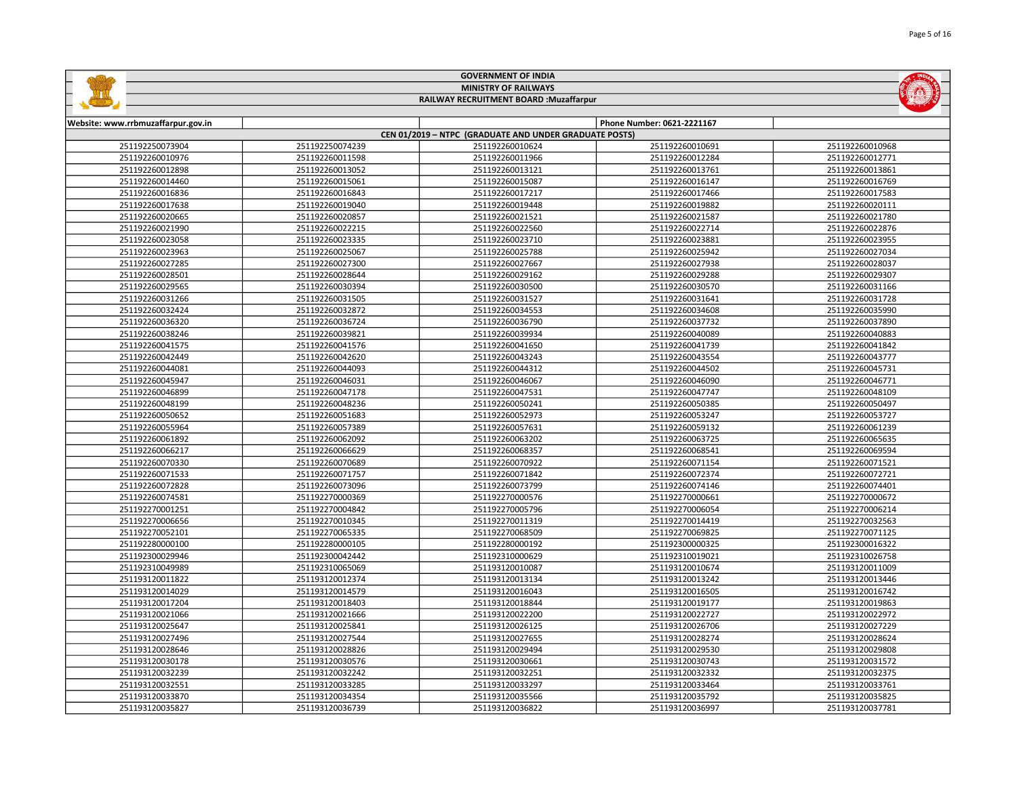|                                    |                             | <b>GOVERNMENT OF INDIA</b>                             |                            |                 |  |
|------------------------------------|-----------------------------|--------------------------------------------------------|----------------------------|-----------------|--|
|                                    | <b>MINISTRY OF RAILWAYS</b> |                                                        |                            |                 |  |
|                                    |                             | RAILWAY RECRUITMENT BOARD : Muzaffarpur                |                            |                 |  |
|                                    |                             |                                                        |                            |                 |  |
| Website: www.rrbmuzaffarpur.gov.in |                             |                                                        | Phone Number: 0621-2221167 |                 |  |
|                                    |                             | CEN 01/2019 - NTPC (GRADUATE AND UNDER GRADUATE POSTS) |                            |                 |  |
| 251192250073904                    | 251192250074239             | 251192260010624                                        | 251192260010691            | 251192260010968 |  |
| 251192260010976                    | 251192260011598             | 251192260011966                                        | 251192260012284            | 251192260012771 |  |
| 251192260012898                    | 251192260013052             | 251192260013121                                        | 251192260013761            | 251192260013861 |  |
| 251192260014460                    | 251192260015061             | 251192260015087                                        | 251192260016147            | 251192260016769 |  |
| 251192260016836                    | 251192260016843             | 251192260017217                                        | 251192260017466            | 251192260017583 |  |
| 251192260017638                    | 251192260019040             | 251192260019448                                        | 251192260019882            | 251192260020111 |  |
| 251192260020665                    | 251192260020857             | 251192260021521                                        | 251192260021587            | 251192260021780 |  |
| 251192260021990                    | 251192260022215             | 251192260022560                                        | 251192260022714            | 251192260022876 |  |

| S211ASS0001S9A9 | <b>221192200013022</b> | SPITASSONOTRIST | S2TTASS000T310T | TORCTOOD13201   |
|-----------------|------------------------|-----------------|-----------------|-----------------|
| 251192260014460 | 251192260015061        | 251192260015087 | 251192260016147 | 251192260016769 |
| 251192260016836 | 251192260016843        | 251192260017217 | 251192260017466 | 251192260017583 |
| 251192260017638 | 251192260019040        | 251192260019448 | 251192260019882 | 251192260020111 |
| 251192260020665 | 251192260020857        | 251192260021521 | 251192260021587 | 251192260021780 |
| 251192260021990 | 251192260022215        | 251192260022560 | 251192260022714 | 251192260022876 |
| 251192260023058 | 251192260023335        | 251192260023710 | 251192260023881 | 251192260023955 |
| 251192260023963 | 251192260025067        | 251192260025788 | 251192260025942 | 251192260027034 |
| 251192260027285 | 251192260027300        | 251192260027667 | 251192260027938 | 251192260028037 |
| 251192260028501 | 251192260028644        | 251192260029162 | 251192260029288 | 251192260029307 |
| 251192260029565 | 251192260030394        | 251192260030500 | 251192260030570 | 251192260031166 |
| 251192260031266 | 251192260031505        | 251192260031527 | 251192260031641 | 251192260031728 |
| 251192260032424 | 251192260032872        | 251192260034553 | 251192260034608 | 251192260035990 |
| 251192260036320 | 251192260036724        | 251192260036790 | 251192260037732 | 251192260037890 |
| 251192260038246 | 251192260039821        | 251192260039934 | 251192260040089 | 251192260040883 |
| 251192260041575 | 251192260041576        | 251192260041650 | 251192260041739 | 251192260041842 |
| 251192260042449 | 251192260042620        | 251192260043243 | 251192260043554 | 251192260043777 |
| 251192260044081 | 251192260044093        | 251192260044312 | 251192260044502 | 251192260045731 |
| 251192260045947 | 251192260046031        | 251192260046067 | 251192260046090 | 251192260046771 |
| 251192260046899 | 251192260047178        | 251192260047531 | 251192260047747 | 251192260048109 |
| 251192260048199 | 251192260048236        | 251192260050241 | 251192260050385 | 251192260050497 |
| 251192260050652 | 251192260051683        | 251192260052973 | 251192260053247 | 251192260053727 |
| 251192260055964 | 251192260057389        | 251192260057631 | 251192260059132 | 251192260061239 |
| 251192260061892 | 251192260062092        | 251192260063202 | 251192260063725 | 251192260065635 |
| 251192260066217 | 251192260066629        | 251192260068357 | 251192260068541 | 251192260069594 |
| 251192260070330 | 251192260070689        | 251192260070922 | 251192260071154 | 251192260071521 |
| 251192260071533 | 251192260071757        | 251192260071842 | 251192260072374 | 251192260072721 |
| 251192260072828 | 251192260073096        | 251192260073799 | 251192260074146 | 251192260074401 |
| 251192260074581 | 251192270000369        | 251192270000576 | 251192270000661 | 251192270000672 |
| 251192270001251 | 251192270004842        | 251192270005796 | 251192270006054 | 251192270006214 |
| 251192270006656 | 251192270010345        | 251192270011319 | 251192270014419 | 251192270032563 |
| 251192270052101 | 251192270065335        | 251192270068509 | 251192270069825 | 251192270071125 |
| 251192280000100 | 251192280000105        | 251192280000192 | 251192300000325 | 251192300016322 |
| 251192300029946 | 251192300042442        | 251192310000629 | 251192310019021 | 251192310026758 |
| 251192310049989 | 251192310065069        | 251193120010087 | 251193120010674 | 251193120011009 |
| 251193120011822 | 251193120012374        | 251193120013134 | 251193120013242 | 251193120013446 |
| 251193120014029 | 251193120014579        | 251193120016043 | 251193120016505 | 251193120016742 |
| 251193120017204 | 251193120018403        | 251193120018844 | 251193120019177 | 251193120019863 |
| 251193120021066 | 251193120021666        | 251193120022200 | 251193120022727 | 251193120022972 |
| 251193120025647 | 251193120025841        | 251193120026125 | 251193120026706 | 251193120027229 |
| 251193120027496 | 251193120027544        | 251193120027655 | 251193120028274 | 251193120028624 |
| 251193120028646 | 251193120028826        | 251193120029494 | 251193120029530 | 251193120029808 |
| 251193120030178 | 251193120030576        | 251193120030661 | 251193120030743 | 251193120031572 |
| 251193120032239 | 251193120032242        | 251193120032251 | 251193120032332 | 251193120032375 |
| 251193120032551 | 251193120033285        | 251193120033297 | 251193120033464 | 251193120033761 |
| 251193120033870 | 251193120034354        | 251193120035566 | 251193120035792 | 251193120035825 |
| 251193120035827 | 251193120036739        | 251193120036822 | 251193120036997 | 251193120037781 |
|                 |                        |                 |                 |                 |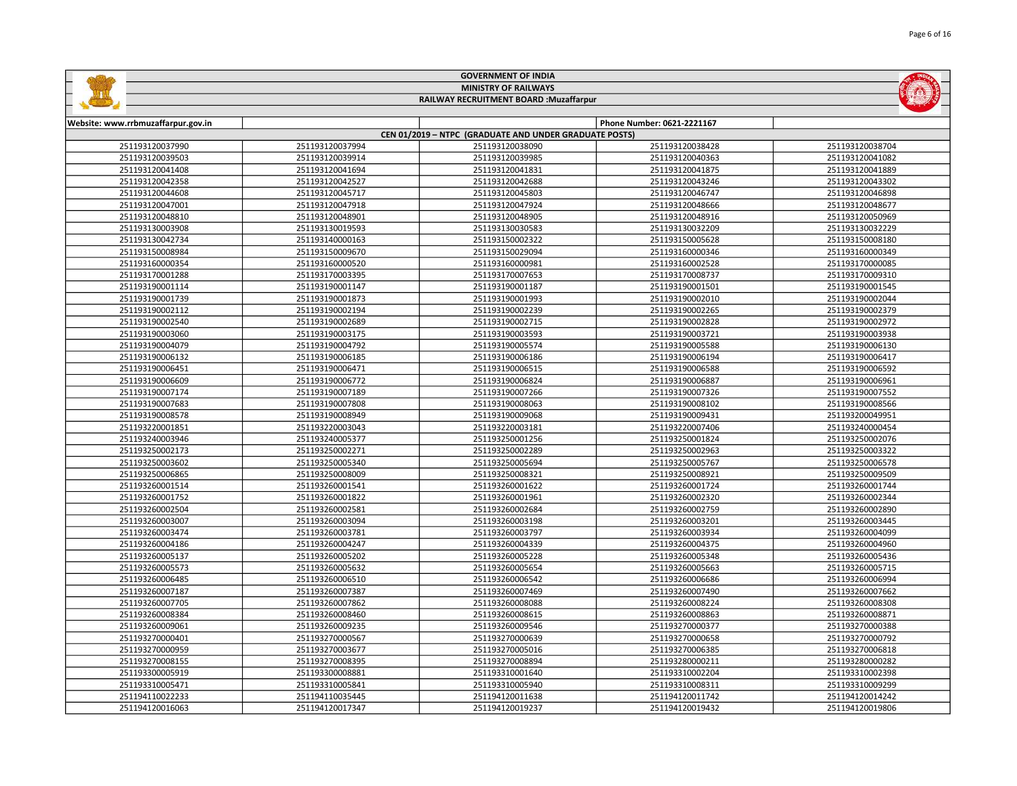|                                    |                 | <b>MINISTRY OF RAILWAYS</b>                            |                            |                 |
|------------------------------------|-----------------|--------------------------------------------------------|----------------------------|-----------------|
|                                    |                 | RAILWAY RECRUITMENT BOARD : Muzaffarpur                |                            |                 |
|                                    |                 |                                                        |                            |                 |
| Website: www.rrbmuzaffarpur.gov.in |                 |                                                        | Phone Number: 0621-2221167 |                 |
|                                    |                 | CEN 01/2019 - NTPC (GRADUATE AND UNDER GRADUATE POSTS) |                            |                 |
| 251193120037990                    | 251193120037994 | 251193120038090                                        | 251193120038428            | 251193120038704 |
| 251193120039503                    | 251193120039914 | 251193120039985                                        | 251193120040363            | 251193120041082 |
| 251193120041408                    | 251193120041694 | 251193120041831                                        | 251193120041875            | 251193120041889 |
| 251193120042358                    | 251193120042527 | 251193120042688                                        | 251193120043246            | 251193120043302 |
| 251193120044608                    | 251193120045717 | 251193120045803                                        | 251193120046747            | 251193120046898 |
| 251193120047001                    | 251193120047918 | 251193120047924                                        | 251193120048666            | 251193120048677 |
| 251193120048810                    | 251193120048901 | 251193120048905                                        | 251193120048916            | 251193120050969 |
| 251193130003908                    | 251193130019593 | 251193130030583                                        | 251193130032209            | 251193130032229 |
| 251193130042734                    | 251193140000163 | 251193150002322                                        | 251193150005628            | 251193150008180 |
| 251193150008984                    | 251193150009670 | 251193150029094                                        | 251193160000346            | 251193160000349 |
| 251193160000354                    | 251193160000520 | 251193160000981                                        | 251193160002528            | 251193170000085 |
| 251193170001288                    | 251193170003395 | 251193170007653                                        | 251193170008737            | 251193170009310 |
| 251193190001114                    | 251193190001147 | 251193190001187                                        | 251193190001501            | 251193190001545 |
| 251193190001739                    | 251193190001873 | 251193190001993                                        | 251193190002010            | 251193190002044 |
| 251193190002112                    | 251193190002194 | 251193190002239                                        | 251193190002265            | 251193190002379 |
| 251193190002540                    | 251193190002689 | 251193190002715                                        | 251193190002828            | 251193190002972 |
| 251193190003060                    | 251193190003175 | 251193190003593                                        | 251193190003721            | 251193190003938 |
| 251193190004079                    | 251193190004792 | 251193190005574                                        | 251193190005588            | 251193190006130 |
| 251193190006132                    | 251193190006185 | 251193190006186                                        | 251193190006194            | 251193190006417 |
| 251193190006451                    | 251193190006471 | 251193190006515                                        | 251193190006588            | 251193190006592 |
| 251193190006609                    | 251193190006772 | 251193190006824                                        | 251193190006887            | 251193190006961 |
| 251193190007174                    | 251193190007189 | 251193190007266                                        | 251193190007326            | 251193190007552 |
| 251193190007683                    | 251193190007808 | 251193190008063                                        | 251193190008102            | 251193190008566 |
| 251193190008578                    | 251193190008949 | 251193190009068                                        | 251193190009431            | 251193200049951 |
| 251193220001851                    | 251193220003043 | 251193220003181                                        | 251193220007406            | 251193240000454 |
| 251193240003946                    | 251193240005377 | 251193250001256                                        | 251193250001824            | 251193250002076 |
| 251193250002173                    | 251193250002271 | 251193250002289                                        | 251193250002963            | 251193250003322 |
| 251193250003602                    | 251193250005340 | 251193250005694                                        | 251193250005767            | 251193250006578 |
| 251193250006865                    | 251193250008009 | 251193250008321                                        | 251193250008921            | 251193250009509 |
| 251193260001514                    | 251193260001541 | 251193260001622                                        | 251193260001724            | 251193260001744 |
| 251193260001752                    | 251193260001822 | 251193260001961                                        | 251193260002320            | 251193260002344 |
| 251193260002504                    | 251193260002581 | 251193260002684                                        | 251193260002759            | 251193260002890 |
| 251193260003007                    | 251193260003094 | 251193260003198                                        | 251193260003201            | 251193260003445 |
| 251193260003474                    | 251193260003781 | 251193260003797                                        | 251193260003934            | 251193260004099 |
| 251193260004186                    | 251193260004247 | 251193260004339                                        | 251193260004375            | 251193260004960 |
| 251193260005137                    | 251193260005202 | 251193260005228                                        | 251193260005348            | 251193260005436 |
| 251193260005573                    | 251193260005632 | 251193260005654                                        | 251193260005663            | 251193260005715 |
| 251193260006485                    | 251193260006510 | 251193260006542                                        | 251193260006686            | 251193260006994 |
| 251193260007187                    | 251193260007387 | 251193260007469                                        | 251193260007490            | 251193260007662 |
| 251193260007705                    | 251193260007862 | 251193260008088                                        | 251193260008224            | 251193260008308 |
| 251193260008384                    | 251193260008460 | 251193260008615                                        | 251193260008863            | 251193260008871 |
| 251193260009061                    | 251193260009235 | 251193260009546                                        | 251193270000377            | 251193270000388 |
| 251193270000401                    | 251193270000567 | 251193270000639                                        | 251193270000658            | 251193270000792 |
| 251193270000959                    | 251193270003677 | 251193270005016                                        | 251193270006385            | 251193270006818 |
| 251193270008155                    | 251193270008395 | 251193270008894                                        | 251193280000211            | 251193280000282 |
| 251193300005919                    | 251193300008881 | 251193310001640                                        | 251193310002204            | 251193310002398 |
| 251193310005471                    | 251193310005841 | 251193310005940                                        | 251193310008311            | 251193310009299 |
| 251194110022233                    | 251194110035445 | 251194120011638                                        | 251194120011742            | 251194120014242 |

251194120017347 251194120019237 251194120019432 251194120019806

GOVERNMENT OF INDIA

**College** 

**MARINEZIA**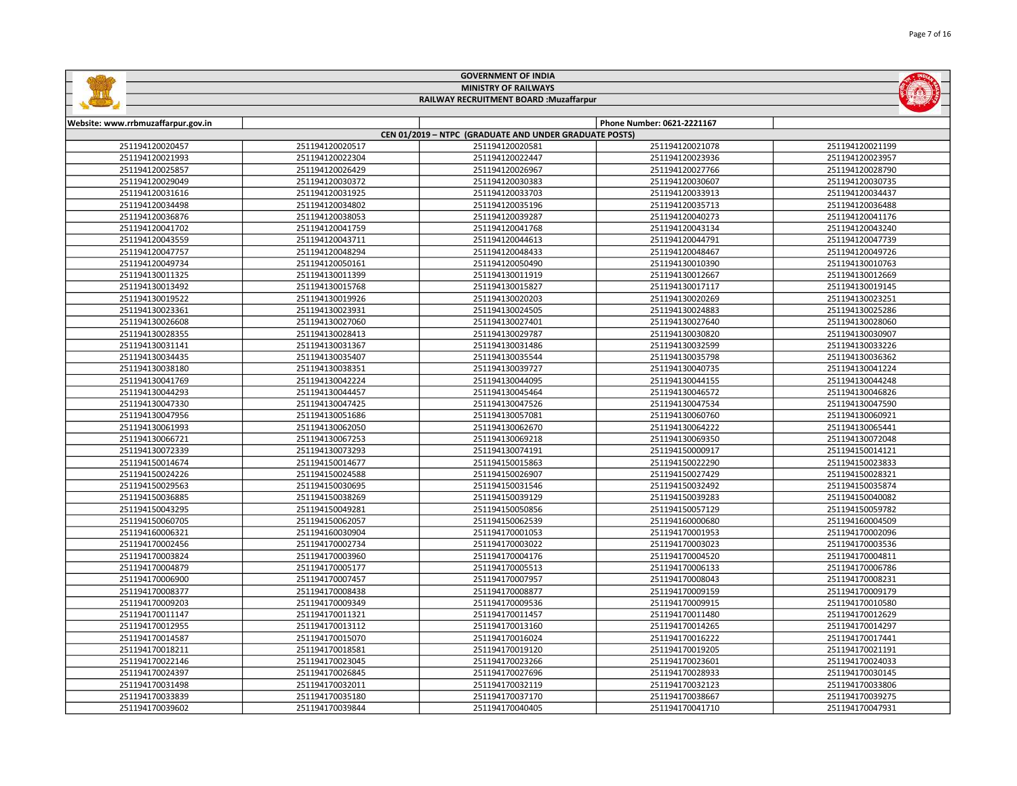|                                    |                             | <b>GOVERNMENT OF INDIA</b>                             |                            |                 |  |
|------------------------------------|-----------------------------|--------------------------------------------------------|----------------------------|-----------------|--|
|                                    | <b>MINISTRY OF RAILWAYS</b> |                                                        |                            |                 |  |
|                                    |                             | RAILWAY RECRUITMENT BOARD : Muzaffarpur                |                            |                 |  |
|                                    |                             |                                                        |                            |                 |  |
| Website: www.rrbmuzaffarpur.gov.in |                             |                                                        | Phone Number: 0621-2221167 |                 |  |
|                                    |                             | CEN 01/2019 - NTPC (GRADUATE AND UNDER GRADUATE POSTS) |                            |                 |  |
| 251194120020457                    | 251194120020517             | 251194120020581                                        | 251194120021078            | 251194120021199 |  |
| 251194120021993                    | 251194120022304             | 251194120022447                                        | 251194120023936            | 251194120023957 |  |
| 251194120025857                    | 251194120026429             | 251194120026967                                        | 251194120027766            | 251194120028790 |  |
| 251194120029049                    | 251194120030372             | 251194120030383                                        | 251194120030607            | 251194120030735 |  |
| 251194120031616                    | 251194120031925             | 251194120033703                                        | 251194120033913            | 251194120034437 |  |
| 251194120034498                    | 251194120034802             | 251194120035196                                        | 251194120035713            | 251194120036488 |  |
| 251194120036876                    | 251194120038053             | 251194120039287                                        | 251194120040273            | 251194120041176 |  |
| 251194120041702                    | 251194120041759             | 251194120041768                                        | 251194120043134            | 251194120043240 |  |
| 251194120043559                    | 251194120043711             | 251194120044613                                        | 251194120044791            | 251194120047739 |  |
| 251194120047757                    | 251194120048294             | 251194120048433                                        | 251194120048467            | 251194120049726 |  |
| 251194120049734                    | 251194120050161             | 251194120050490                                        | 251194130010390            | 251194130010763 |  |
| 251194130011325                    | 251194130011399             | 251194130011919                                        | 251194130012667            | 251194130012669 |  |
| 251194130013492                    | 251194130015768             | 251194130015827                                        | 251194130017117            | 251194130019145 |  |
| 251194130019522                    | 251194130019926             | 251194130020203                                        | 251194130020269            | 251194130023251 |  |
| 251194130023361                    | 251194130023931             | 251194130024505                                        | 251194130024883            | 251194130025286 |  |
| 251194130026608                    | 251194130027060             | 251194130027401                                        | 251194130027640            | 251194130028060 |  |
| 251194130028355                    | 251194130028413             | 251194130029787                                        | 251194130030820            | 251194130030907 |  |
| 251194130031141                    | 251194130031367             | 251194130031486                                        | 251194130032599            | 251194130033226 |  |
| 251194130034435                    | 251194130035407             | 251194130035544                                        | 251194130035798            | 251194130036362 |  |
| 251194130038180                    | 251194130038351             | 251194130039727                                        | 251194130040735            | 251194130041224 |  |
| 251194130041769                    | 251194130042224             | 251194130044095                                        | 251194130044155            | 251194130044248 |  |
| 251194130044293                    | 251194130044457             | 251194130045464                                        | 251194130046572            | 251194130046826 |  |
| 251194130047330                    | 251194130047425             | 251194130047526                                        | 251194130047534            | 251194130047590 |  |
| 251194130047956                    | 251194130051686             | 251194130057081                                        | 251194130060760            | 251194130060921 |  |
| 251194130061993                    | 251194130062050             | 251194130062670                                        | 251194130064222            | 251194130065441 |  |
| 251194130066721                    | 251194130067253             | 251194130069218                                        | 251194130069350            | 251194130072048 |  |
| 251194130072339                    | 251194130073293             | 251194130074191                                        | 251194150000917            | 251194150014121 |  |
| 251194150014674                    | 251194150014677             | 251194150015863                                        | 251194150022290            | 251194150023833 |  |
| 251194150024226                    | 251194150024588             | 251194150026907                                        | 251194150027429            | 251194150028321 |  |
| 251194150029563                    | 251194150030695             | 251194150031546                                        | 251194150032492            | 251194150035874 |  |
| 251194150036885                    | 251194150038269             | 251194150039129                                        | 251194150039283            | 251194150040082 |  |
| 251194150043295                    | 251194150049281             | 251194150050856                                        | 251194150057129            | 251194150059782 |  |
| 251194150060705                    | 251194150062057             | 251194150062539                                        | 251194160000680            | 251194160004509 |  |
| 251194160006321                    | 251194160030904             | 251194170001053                                        | 251194170001953            | 251194170002096 |  |
| 251194170002456                    | 251194170002734             | 251194170003022                                        | 251194170003023            | 251194170003536 |  |
| 251194170003824                    | 251194170003960             | 251194170004176                                        | 251194170004520            | 251194170004811 |  |
| 251194170004879                    | 251194170005177             | 251194170005513                                        | 251194170006133            | 251194170006786 |  |
| 251194170006900                    | 251194170007457             | 251194170007957                                        | 251194170008043            | 251194170008231 |  |
| 251194170008377                    | 251194170008438             | 251194170008877                                        | 251194170009159            | 251194170009179 |  |
| 251194170009203                    | 251194170009349             | 251194170009536                                        | 251194170009915            | 251194170010580 |  |
| 251194170011147                    | 251194170011321             | 251194170011457                                        | 251194170011480            | 251194170012629 |  |
| 251194170012955                    | 251194170013112             | 251194170013160                                        | 251194170014265            | 251194170014297 |  |
| 251194170014587                    | 251194170015070             | 251194170016024                                        | 251194170016222            | 251194170017441 |  |
| 251194170018211                    | 251194170018581             | 251194170019120                                        | 251194170019205            | 251194170021191 |  |
| 251194170022146                    | 251194170023045             | 251194170023266                                        | 251194170023601            | 251194170024033 |  |
| 251194170024397                    | 251194170026845             | 251194170027696                                        | 251194170028933            | 251194170030145 |  |

 251194170032011 251194170032119 251194170032123 251194170033806 251194170035180 251194170037170 251194170038667 251194170039275 251194170039844 251194170040405 251194170041710 251194170047931

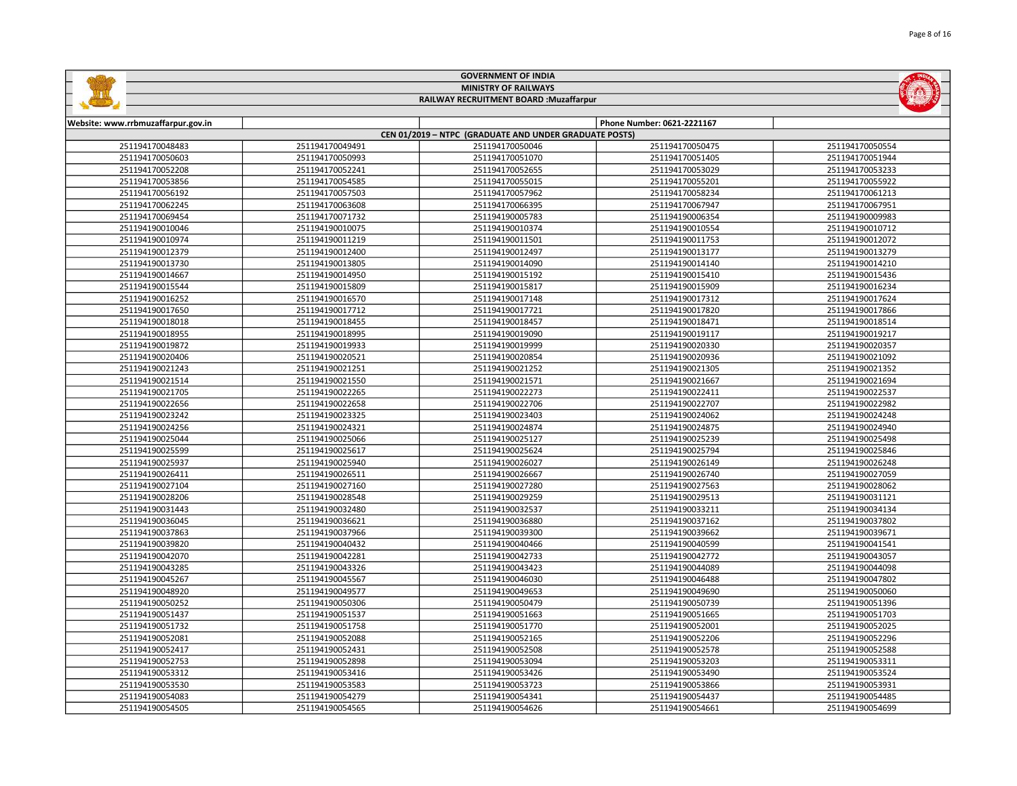|                                    |                 | <b>GOVERNMENT OF INDIA</b>                             |                            |                 |  |  |
|------------------------------------|-----------------|--------------------------------------------------------|----------------------------|-----------------|--|--|
|                                    |                 | <b>MINISTRY OF RAILWAYS</b>                            |                            |                 |  |  |
|                                    |                 | RAILWAY RECRUITMENT BOARD : Muzaffarpur                |                            |                 |  |  |
|                                    |                 |                                                        |                            |                 |  |  |
| Website: www.rrbmuzaffarpur.gov.in |                 |                                                        | Phone Number: 0621-2221167 |                 |  |  |
|                                    |                 | CEN 01/2019 - NTPC (GRADUATE AND UNDER GRADUATE POSTS) |                            |                 |  |  |
| 251194170048483                    | 251194170049491 | 251194170050046                                        | 251194170050475            | 251194170050554 |  |  |
| 251194170050603                    | 251194170050993 | 251194170051070                                        | 251194170051405            | 251194170051944 |  |  |
| 251194170052208                    | 251194170052241 | 251194170052655                                        | 251194170053029            | 251194170053233 |  |  |
| 251194170053856                    | 251194170054585 | 251194170055015                                        | 251194170055201            | 251194170055922 |  |  |
| 251194170056192                    | 251194170057503 | 251194170057962                                        | 251194170058234            | 251194170061213 |  |  |
| 251194170062245                    | 251194170063608 | 251194170066395                                        | 251194170067947            | 251194170067951 |  |  |
| 251194170069454                    | 251194170071732 | 251194190005783                                        | 251194190006354            | 251194190009983 |  |  |
| 251194190010046                    | 251194190010075 | 251194190010374                                        | 251194190010554            | 251194190010712 |  |  |
| 251194190010974                    | 251194190011219 | 251194190011501                                        | 251194190011753            | 251194190012072 |  |  |
| 251194190012379                    | 251194190012400 | 251194190012497                                        | 251194190013177            | 251194190013279 |  |  |
| 251194190013730                    | 251194190013805 | 251194190014090                                        | 251194190014140            | 251194190014210 |  |  |
| 251194190014667                    | 251194190014950 | 251194190015192                                        | 251194190015410            | 251194190015436 |  |  |
| 251194190015544                    | 251194190015809 | 251194190015817                                        | 251194190015909            | 251194190016234 |  |  |
| 251194190016252                    | 251194190016570 | 251194190017148                                        | 251194190017312            | 251194190017624 |  |  |
| 251194190017650                    | 251194190017712 | 251194190017721                                        | 251194190017820            | 251194190017866 |  |  |
| 251194190018018                    | 251194190018455 | 251194190018457                                        | 251194190018471            | 251194190018514 |  |  |
| 251194190018955                    | 251194190018995 | 251194190019090                                        | 251194190019117            | 251194190019217 |  |  |
| 251194190019872                    | 251194190019933 | 251194190019999                                        | 251194190020330            | 251194190020357 |  |  |
| 251194190020406                    | 251194190020521 | 251194190020854                                        | 251194190020936            | 251194190021092 |  |  |
| 251194190021243                    | 251194190021251 | 251194190021252                                        | 251194190021305            | 251194190021352 |  |  |

| 251194190018018 | 251194190018455 | 251194190018457 | 251194190018471 | 251194190018514 |
|-----------------|-----------------|-----------------|-----------------|-----------------|
| 251194190018955 | 251194190018995 | 251194190019090 | 251194190019117 | 251194190019217 |
| 251194190019872 | 251194190019933 | 251194190019999 | 251194190020330 | 251194190020357 |
| 251194190020406 | 251194190020521 | 251194190020854 | 251194190020936 | 251194190021092 |
| 251194190021243 | 251194190021251 | 251194190021252 | 251194190021305 | 251194190021352 |
| 251194190021514 | 251194190021550 | 251194190021571 | 251194190021667 | 251194190021694 |
| 251194190021705 | 251194190022265 | 251194190022273 | 251194190022411 | 251194190022537 |
| 251194190022656 | 251194190022658 | 251194190022706 | 251194190022707 | 251194190022982 |
| 251194190023242 | 251194190023325 | 251194190023403 | 251194190024062 | 251194190024248 |
| 251194190024256 | 251194190024321 | 251194190024874 | 251194190024875 | 251194190024940 |
| 251194190025044 | 251194190025066 | 251194190025127 | 251194190025239 | 251194190025498 |
| 251194190025599 | 251194190025617 | 251194190025624 | 251194190025794 | 251194190025846 |
| 251194190025937 | 251194190025940 | 251194190026027 | 251194190026149 | 251194190026248 |
| 251194190026411 | 251194190026511 | 251194190026667 | 251194190026740 | 251194190027059 |
| 251194190027104 | 251194190027160 | 251194190027280 | 251194190027563 | 251194190028062 |
| 251194190028206 | 251194190028548 | 251194190029259 | 251194190029513 | 251194190031121 |
| 251194190031443 | 251194190032480 | 251194190032537 | 251194190033211 | 251194190034134 |
| 251194190036045 | 251194190036621 | 251194190036880 | 251194190037162 | 251194190037802 |
| 251194190037863 | 251194190037966 | 251194190039300 | 251194190039662 | 251194190039671 |
| 251194190039820 | 251194190040432 | 251194190040466 | 251194190040599 | 251194190041541 |
| 251194190042070 | 251194190042281 | 251194190042733 | 251194190042772 | 251194190043057 |
| 251194190043285 | 251194190043326 | 251194190043423 | 251194190044089 | 251194190044098 |
| 251194190045267 | 251194190045567 | 251194190046030 | 251194190046488 | 251194190047802 |
| 251194190048920 | 251194190049577 | 251194190049653 | 251194190049690 | 251194190050060 |
| 251194190050252 | 251194190050306 | 251194190050479 | 251194190050739 | 251194190051396 |
| 251194190051437 | 251194190051537 | 251194190051663 | 251194190051665 | 251194190051703 |
| 251194190051732 | 251194190051758 | 251194190051770 | 251194190052001 | 251194190052025 |
| 251194190052081 | 251194190052088 | 251194190052165 | 251194190052206 | 251194190052296 |
| 251194190052417 | 251194190052431 | 251194190052508 | 251194190052578 | 251194190052588 |
| 251194190052753 | 251194190052898 | 251194190053094 | 251194190053203 | 251194190053311 |
| 251194190053312 | 251194190053416 | 251194190053426 | 251194190053490 | 251194190053524 |
| 251194190053530 | 251194190053583 | 251194190053723 | 251194190053866 | 251194190053931 |
| 251194190054083 | 251194190054279 | 251194190054341 | 251194190054437 | 251194190054485 |
| 251194190054505 | 251194190054565 | 251194190054626 | 251194190054661 | 251194190054699 |
|                 |                 |                 |                 |                 |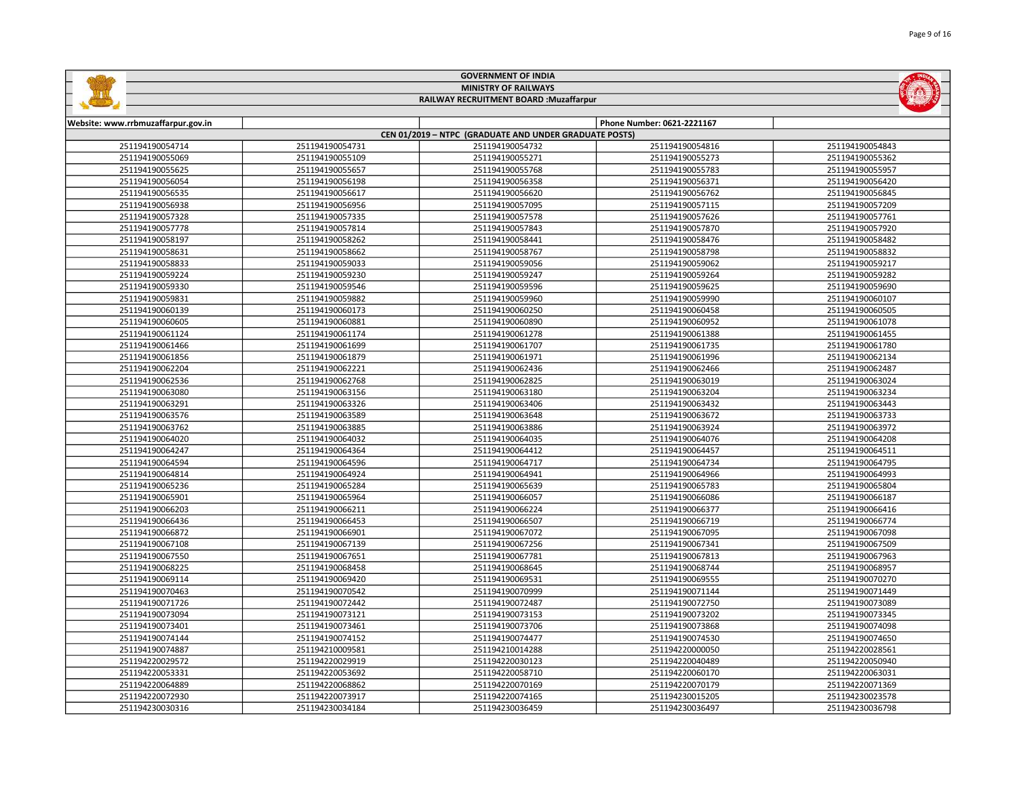|                                    |                 | <b>GOVERNMENT OF INDIA</b>                             |                            |                 |
|------------------------------------|-----------------|--------------------------------------------------------|----------------------------|-----------------|
|                                    |                 | <b>MINISTRY OF RAILWAYS</b>                            |                            |                 |
|                                    |                 | RAILWAY RECRUITMENT BOARD : Muzaffarpur                |                            |                 |
|                                    |                 |                                                        |                            |                 |
| Website: www.rrbmuzaffarpur.gov.in |                 |                                                        | Phone Number: 0621-2221167 |                 |
|                                    |                 | CEN 01/2019 - NTPC (GRADUATE AND UNDER GRADUATE POSTS) |                            |                 |
| 251194190054714                    | 251194190054731 | 251194190054732                                        | 251194190054816            | 251194190054843 |
| 251194190055069                    | 251194190055109 | 251194190055271                                        | 251194190055273            | 251194190055362 |
| 251194190055625                    | 251194190055657 | 251194190055768                                        | 251194190055783            | 251194190055957 |
| 251194190056054                    | 251194190056198 | 251194190056358                                        | 251194190056371            | 251194190056420 |
| 251194190056535                    | 251194190056617 | 251194190056620                                        | 251194190056762            | 251194190056845 |
| 251194190056938                    | 251194190056956 | 251194190057095                                        | 251194190057115            | 251194190057209 |
| 251194190057328                    | 251194190057335 | 251194190057578                                        | 251194190057626            | 251194190057761 |
| 251194190057778                    | 251194190057814 | 251194190057843                                        | 251194190057870            | 251194190057920 |
| 251194190058197                    | 251194190058262 | 251194190058441                                        | 251194190058476            | 251194190058482 |
| 251194190058631                    | 251194190058662 | 251194190058767                                        | 251194190058798            | 251194190058832 |
| 251194190058833                    | 251194190059033 | 251194190059056                                        | 251194190059062            | 251194190059217 |
| 251194190059224                    | 251194190059230 | 251194190059247                                        | 251194190059264            | 251194190059282 |
| 251194190059330                    | 251194190059546 | 251194190059596                                        | 251194190059625            | 251194190059690 |
| 251194190059831                    | 251194190059882 | 251194190059960                                        | 251194190059990            | 251194190060107 |
| 251194190060139                    | 251194190060173 | 251194190060250                                        | 251194190060458            | 251194190060505 |
| 251194190060605                    | 251194190060881 | 251194190060890                                        | 251194190060952            | 251194190061078 |
| 251194190061124                    | 251194190061174 | 251194190061278                                        | 251194190061388            | 251194190061455 |
| 251194190061466                    | 251194190061699 | 251194190061707                                        | 251194190061735            | 251194190061780 |
| 251194190061856                    | 251194190061879 | 251194190061971                                        | 251194190061996            | 251194190062134 |
| 251194190062204                    | 251194190062221 | 251194190062436                                        | 251194190062466            | 251194190062487 |
| 251194190062536                    | 251194190062768 | 251194190062825                                        | 251194190063019            | 251194190063024 |
| 251194190063080                    | 251194190063156 | 251194190063180                                        | 251194190063204            | 251194190063234 |
| 251194190063291                    | 251194190063326 | 251194190063406                                        | 251194190063432            | 251194190063443 |
| 251194190063576                    | 251194190063589 | 251194190063648                                        | 251194190063672            | 251194190063733 |
| 251194190063762                    | 251194190063885 | 251194190063886                                        | 251194190063924            | 251194190063972 |
| 251194190064020                    | 251194190064032 | 251194190064035                                        | 251194190064076            | 251194190064208 |
| 251194190064247                    | 251194190064364 | 251194190064412                                        | 251194190064457            | 251194190064511 |
| 251194190064594                    | 251194190064596 | 251194190064717                                        | 251194190064734            | 251194190064795 |
| 251194190064814                    | 251194190064924 | 251194190064941                                        | 251194190064966            | 251194190064993 |
| 251194190065236                    | 251194190065284 | 251194190065639                                        | 251194190065783            | 251194190065804 |
| 251194190065901                    | 251194190065964 | 251194190066057                                        | 251194190066086            | 251194190066187 |
| 251194190066203                    | 251194190066211 | 251194190066224                                        | 251194190066377            | 251194190066416 |
| 251194190066436                    | 251194190066453 | 251194190066507                                        | 251194190066719            | 251194190066774 |
| 251194190066872                    | 251194190066901 | 251194190067072                                        | 251194190067095            | 251194190067098 |
| 251194190067108                    | 251194190067139 | 251194190067256                                        | 251194190067341            | 251194190067509 |
| 251194190067550                    | 251194190067651 | 251194190067781                                        | 251194190067813            | 251194190067963 |
| 251194190068225                    | 251194190068458 | 251194190068645                                        | 251194190068744            | 251194190068957 |
| 251194190069114                    | 251194190069420 | 251194190069531                                        | 251194190069555            | 251194190070270 |

 251194190070542 251194190070999 251194190071144 251194190071449 251194190072442 251194190072487 251194190072750 251194190073089 251194190073121 251194190073153 251194190073202 251194190073345 251194190073461 251194190073706 251194190073868 251194190074098 251194190074152 251194190074477 251194190074530 251194190074650 251194210009581 251194210014288 251194220000050 251194220028561 251194220029919 251194220030123 251194220040489 251194220050940 251194220053692 251194220058710 251194220060170 251194220063031 251194220068862 251194220070169 251194220070179 251194220071369 251194220073917 251194220074165 251194230015205 251194230023578 251194230034184 251194230036459 251194230036497 251194230036798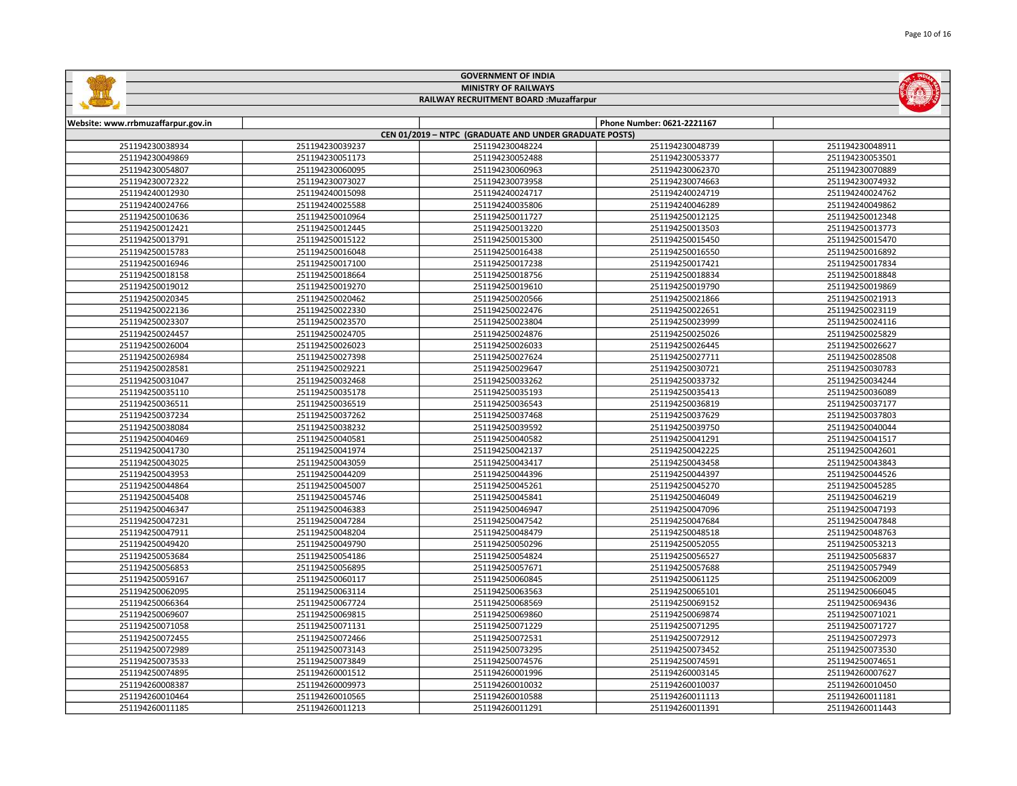|                                         |                 | <b>GOVERNMENT OF INDIA</b>                             |                            |                 |  |
|-----------------------------------------|-----------------|--------------------------------------------------------|----------------------------|-----------------|--|
|                                         |                 | <b>MINISTRY OF RAILWAYS</b>                            |                            |                 |  |
| RAILWAY RECRUITMENT BOARD : Muzaffarpur |                 |                                                        |                            |                 |  |
|                                         |                 |                                                        |                            |                 |  |
| w.rrbmuzaffarpur.gov.in                 |                 |                                                        | Phone Number: 0621-2221167 |                 |  |
|                                         |                 | CEN 01/2019 - NTPC (GRADUATE AND UNDER GRADUATE POSTS) |                            |                 |  |
| 251194230038934                         | 251194230039237 | 251194230048224                                        | 251194230048739            | 251194230048911 |  |
| 251194230049869                         | 251194230051173 | 251194230052488                                        | 251194230053377            | 251194230053501 |  |
| 251194230054807                         | 251194230060095 | 251194230060963                                        | 251194230062370            | 251194230070889 |  |
| 251194230072322                         | 251194230073027 | 251194230073958                                        | 251194230074663            | 251194230074932 |  |
| 251194240012930                         | 251194240015098 | 251194240024717                                        | 251194240024719            | 251194240024762 |  |
| 251194240024766                         | 251194240025588 | 251194240035806                                        | 251194240046289            | 251194240049862 |  |
| 251194250010636                         | 251194250010964 | 251194250011727                                        | 251194250012125            | 251194250012348 |  |
| 251194250012421                         | 251194250012445 | 251194250013220                                        | 251194250013503            | 251194250013773 |  |
| 251194250013791                         | 251194250015122 | 251194250015300                                        | 251194250015450            | 251194250015470 |  |
| 251194250015783                         | 251194250016048 | 251194250016438                                        | 251194250016550            | 251194250016892 |  |
| 251194250016946                         | 251194250017100 | 251194250017238                                        | 251194250017421            | 251194250017834 |  |
| 251194250018158                         | 251194250018664 | 251194250018756                                        | 251194250018834            | 251194250018848 |  |
| 251194250019012                         | 251194250019270 | 251194250019610                                        | 251194250019790            | 251194250019869 |  |
| 251194250020345                         | 251194250020462 | 251194250020566                                        | 251194250021866            | 251194250021913 |  |
| 251194250022136                         | 251194250022330 | 251194250022476                                        | 251194250022651            | 251194250023119 |  |
| 251194250023307                         | 251194250023570 | 251194250023804                                        | 251194250023999            | 251194250024116 |  |
| 251194250024457                         | 251194250024705 | 251194250024876                                        | 251194250025026            | 251194250025829 |  |
| 251194250026004                         | 251194250026023 | 251194250026033                                        | 251194250026445            | 251194250026627 |  |
| 251194250026984                         | 251194250027398 | 251194250027624                                        | 251194250027711            | 251194250028508 |  |
| 251194250028581                         | 251194250029221 | 251194250029647                                        | 251194250030721            | 251194250030783 |  |
| 251194250031047                         | 251194250032468 | 251194250033262                                        | 251194250033732            | 251194250034244 |  |
| 251194250035110                         | 251194250035178 | 251194250035193                                        | 251194250035413            | 251194250036089 |  |
| -----------                             |                 |                                                        |                            |                 |  |

| 231134230010340 | ZJ1134ZJUU1/100 | 231134230017230 | ZJIIJ4ZJUUI/4ZI | 201194200017004 |
|-----------------|-----------------|-----------------|-----------------|-----------------|
| 251194250018158 | 251194250018664 | 251194250018756 | 251194250018834 | 251194250018848 |
| 251194250019012 | 251194250019270 | 251194250019610 | 251194250019790 | 251194250019869 |
| 251194250020345 | 251194250020462 | 251194250020566 | 251194250021866 | 251194250021913 |
| 251194250022136 | 251194250022330 | 251194250022476 | 251194250022651 | 251194250023119 |
| 251194250023307 | 251194250023570 | 251194250023804 | 251194250023999 | 251194250024116 |
| 251194250024457 | 251194250024705 | 251194250024876 | 251194250025026 | 251194250025829 |
| 251194250026004 | 251194250026023 | 251194250026033 | 251194250026445 | 251194250026627 |
| 251194250026984 | 251194250027398 | 251194250027624 | 251194250027711 | 251194250028508 |
| 251194250028581 | 251194250029221 | 251194250029647 | 251194250030721 | 251194250030783 |
| 251194250031047 | 251194250032468 | 251194250033262 | 251194250033732 | 251194250034244 |
| 251194250035110 | 251194250035178 | 251194250035193 | 251194250035413 | 251194250036089 |
| 251194250036511 | 251194250036519 | 251194250036543 | 251194250036819 | 251194250037177 |
| 251194250037234 | 251194250037262 | 251194250037468 | 251194250037629 | 251194250037803 |
| 251194250038084 | 251194250038232 | 251194250039592 | 251194250039750 | 251194250040044 |
| 251194250040469 | 251194250040581 | 251194250040582 | 251194250041291 | 251194250041517 |
| 251194250041730 | 251194250041974 | 251194250042137 | 251194250042225 | 251194250042601 |
| 251194250043025 | 251194250043059 | 251194250043417 | 251194250043458 | 251194250043843 |
| 251194250043953 | 251194250044209 | 251194250044396 | 251194250044397 | 251194250044526 |
| 251194250044864 | 251194250045007 | 251194250045261 | 251194250045270 | 251194250045285 |
| 251194250045408 | 251194250045746 | 251194250045841 | 251194250046049 | 251194250046219 |
| 251194250046347 | 251194250046383 | 251194250046947 | 251194250047096 | 251194250047193 |
| 251194250047231 | 251194250047284 | 251194250047542 | 251194250047684 | 251194250047848 |
| 251194250047911 | 251194250048204 | 251194250048479 | 251194250048518 | 251194250048763 |
| 251194250049420 | 251194250049790 | 251194250050296 | 251194250052055 | 251194250053213 |
| 251194250053684 | 251194250054186 | 251194250054824 | 251194250056527 | 251194250056837 |
| 251194250056853 | 251194250056895 | 251194250057671 | 251194250057688 | 251194250057949 |
| 251194250059167 | 251194250060117 | 251194250060845 | 251194250061125 | 251194250062009 |
| 251194250062095 | 251194250063114 | 251194250063563 | 251194250065101 | 251194250066045 |
| 251194250066364 | 251194250067724 | 251194250068569 | 251194250069152 | 251194250069436 |
| 251194250069607 | 251194250069815 | 251194250069860 | 251194250069874 | 251194250071021 |
| 251194250071058 | 251194250071131 | 251194250071229 | 251194250071295 | 251194250071727 |
| 251194250072455 | 251194250072466 | 251194250072531 | 251194250072912 | 251194250072973 |
| 251194250072989 | 251194250073143 | 251194250073295 | 251194250073452 | 251194250073530 |
| 251194250073533 | 251194250073849 | 251194250074576 | 251194250074591 | 251194250074651 |
| 251194250074895 | 251194260001512 | 251194260001996 | 251194260003145 | 251194260007627 |
| 251194260008387 | 251194260009973 | 251194260010032 | 251194260010037 | 251194260010450 |
| 251194260010464 | 251194260010565 | 251194260010588 | 251194260011113 | 251194260011181 |
| 251194260011185 | 251194260011213 | 251194260011291 | 251194260011391 | 251194260011443 |
|                 |                 |                 |                 |                 |

Website: www.rrbmuzaffarpur.gov.in

E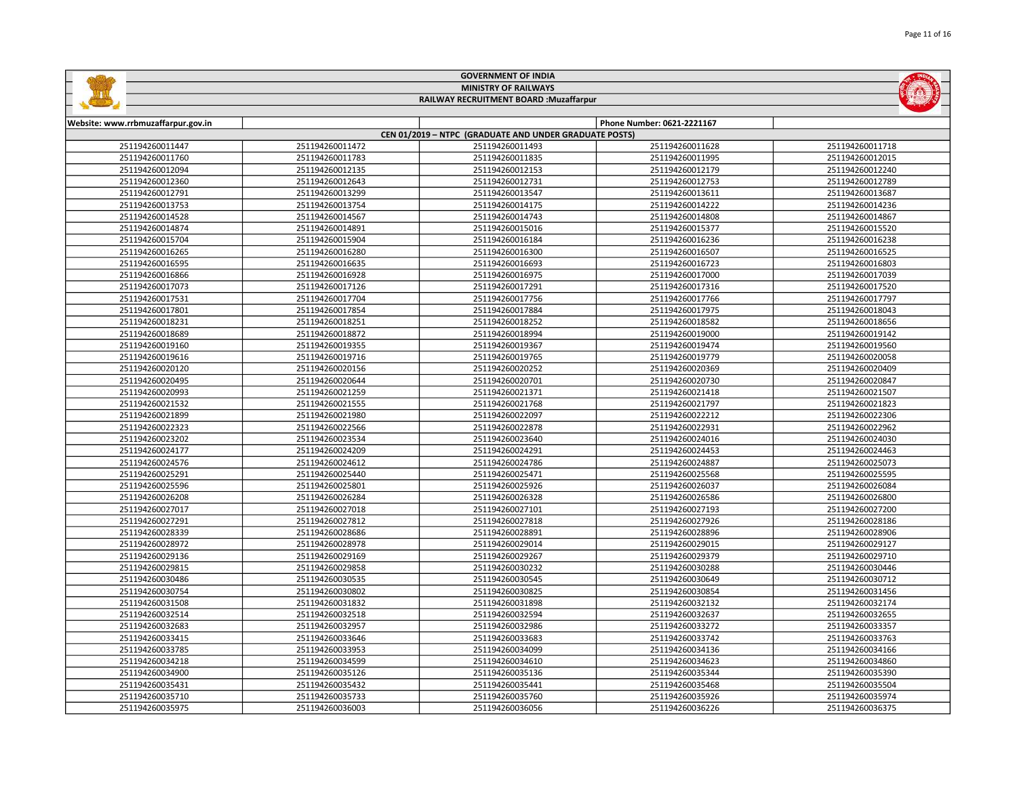Page 11 of 16



## GOVERNMENT OF INDIA MINISTRY OF RAILWAYS RAILWAY RECRUITMENT BOARD :Muzaffarpur

| Website: www.rrbmuzaffarpur.gov.in |                 |                                                        | Phone Number: 0621-2221167 |                 |
|------------------------------------|-----------------|--------------------------------------------------------|----------------------------|-----------------|
|                                    |                 | CEN 01/2019 - NTPC (GRADUATE AND UNDER GRADUATE POSTS) |                            |                 |
| 251194260011447                    | 251194260011472 | 251194260011493                                        | 251194260011628            | 251194260011718 |
| 251194260011760                    | 251194260011783 | 251194260011835                                        | 251194260011995            | 251194260012015 |
| 251194260012094                    | 251194260012135 | 251194260012153                                        | 251194260012179            | 251194260012240 |
| 251194260012360                    | 251194260012643 | 251194260012731                                        | 251194260012753            | 251194260012789 |
| 251194260012791                    | 251194260013299 | 251194260013547                                        | 251194260013611            | 251194260013687 |
| 251194260013753                    | 251194260013754 | 251194260014175                                        | 251194260014222            | 251194260014236 |
| 251194260014528                    | 251194260014567 | 251194260014743                                        | 251194260014808            | 251194260014867 |
| 251194260014874                    | 251194260014891 | 251194260015016                                        | 251194260015377            | 251194260015520 |
| 251194260015704                    | 251194260015904 | 251194260016184                                        | 251194260016236            | 251194260016238 |
| 251194260016265                    | 251194260016280 | 251194260016300                                        | 251194260016507            | 251194260016525 |
| 251194260016595                    | 251194260016635 | 251194260016693                                        | 251194260016723            | 251194260016803 |
| 251194260016866                    | 251194260016928 | 251194260016975                                        | 251194260017000            | 251194260017039 |
| 251194260017073                    | 251194260017126 | 251194260017291                                        | 251194260017316            | 251194260017520 |
| 251194260017531                    | 251194260017704 | 251194260017756                                        | 251194260017766            | 251194260017797 |
| 251194260017801                    | 251194260017854 | 251194260017884                                        | 251194260017975            | 251194260018043 |
| 251194260018231                    | 251194260018251 | 251194260018252                                        | 251194260018582            | 251194260018656 |
| 251194260018689                    | 251194260018872 | 251194260018994                                        | 251194260019000            | 251194260019142 |
| 251194260019160                    | 251194260019355 | 251194260019367                                        | 251194260019474            | 251194260019560 |
| 251194260019616                    | 251194260019716 | 251194260019765                                        | 251194260019779            | 251194260020058 |
| 251194260020120                    | 251194260020156 | 251194260020252                                        | 251194260020369            | 251194260020409 |
| 251194260020495                    | 251194260020644 | 251194260020701                                        | 251194260020730            | 251194260020847 |
| 251194260020993                    | 251194260021259 | 251194260021371                                        | 251194260021418            | 251194260021507 |
| 251194260021532                    | 251194260021555 | 251194260021768                                        | 251194260021797            | 251194260021823 |
| 251194260021899                    | 251194260021980 | 251194260022097                                        | 251194260022212            | 251194260022306 |
| 251194260022323                    | 251194260022566 | 251194260022878                                        | 251194260022931            | 251194260022962 |
| 251194260023202                    | 251194260023534 | 251194260023640                                        | 251194260024016            | 251194260024030 |
| 251194260024177                    | 251194260024209 | 251194260024291                                        | 251194260024453            | 251194260024463 |
| 251194260024576                    | 251194260024612 | 251194260024786                                        | 251194260024887            | 251194260025073 |
| 251194260025291                    | 251194260025440 | 251194260025471                                        | 251194260025568            | 251194260025595 |
| 251194260025596                    | 251194260025801 | 251194260025926                                        | 251194260026037            | 251194260026084 |
| 251194260026208                    | 251194260026284 | 251194260026328                                        | 251194260026586            | 251194260026800 |
| 251194260027017                    | 251194260027018 | 251194260027101                                        | 251194260027193            | 251194260027200 |
| 251194260027291                    | 251194260027812 | 251194260027818                                        | 251194260027926            | 251194260028186 |
| 251194260028339                    | 251194260028686 | 251194260028891                                        | 251194260028896            | 251194260028906 |
| 251194260028972                    | 251194260028978 | 251194260029014                                        | 251194260029015            | 251194260029127 |
| 251194260029136                    | 251194260029169 | 251194260029267                                        | 251194260029379            | 251194260029710 |
| 251194260029815                    | 251194260029858 | 251194260030232                                        | 251194260030288            | 251194260030446 |
| 251194260030486                    | 251194260030535 | 251194260030545                                        | 251194260030649            | 251194260030712 |
| 251194260030754                    | 251194260030802 | 251194260030825                                        | 251194260030854            | 251194260031456 |
| 251194260031508                    | 251194260031832 | 251194260031898                                        | 251194260032132            | 251194260032174 |
| 251194260032514                    | 251194260032518 | 251194260032594                                        | 251194260032637            | 251194260032655 |
| 251194260032683                    | 251194260032957 | 251194260032986                                        | 251194260033272            | 251194260033357 |
| 251194260033415                    | 251194260033646 | 251194260033683                                        | 251194260033742            | 251194260033763 |
| 251194260033785                    | 251194260033953 | 251194260034099                                        | 251194260034136            | 251194260034166 |
| 251194260034218                    | 251194260034599 | 251194260034610                                        | 251194260034623            | 251194260034860 |
| 251194260034900                    | 251194260035126 | 251194260035136                                        | 251194260035344            | 251194260035390 |
| 251194260035431                    | 251194260035432 | 251194260035441                                        | 251194260035468            | 251194260035504 |
| 251194260035710                    | 251194260035733 | 251194260035760                                        | 251194260035926            | 251194260035974 |
| 251194260035975                    | 251194260036003 | 251194260036056                                        | 251194260036226            | 251194260036375 |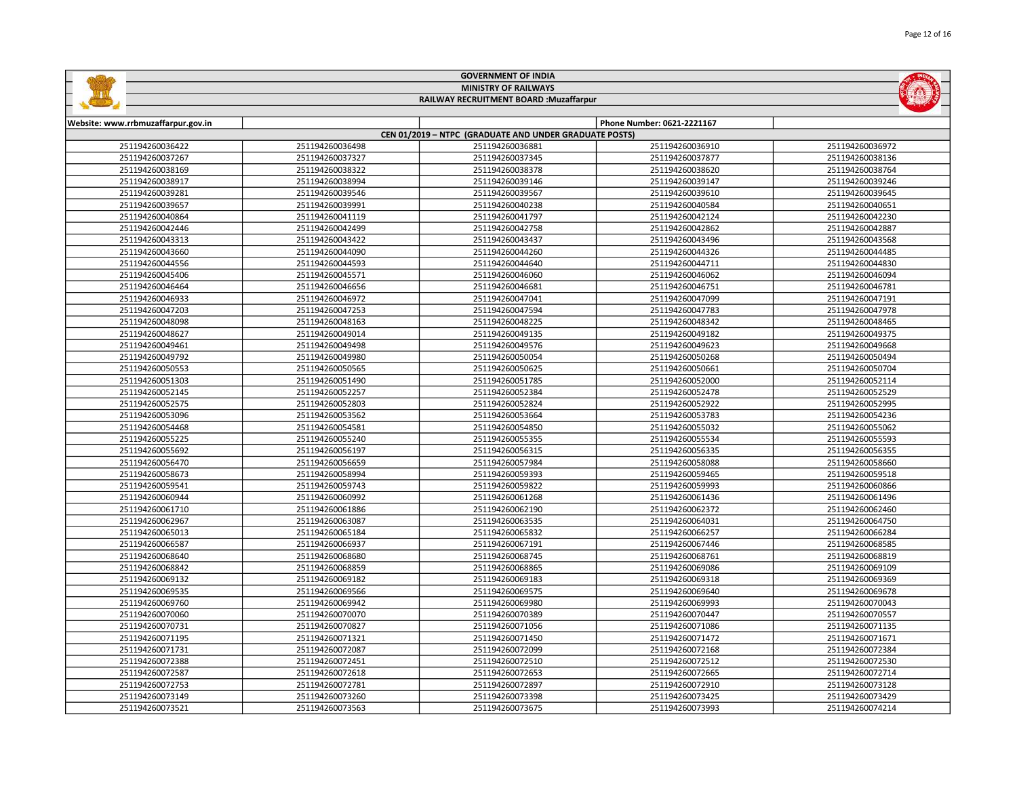

I<br>Fø

## RAILWAY RECRUITMENT BOARD :Muzaffarpur

| Website: www.rrbmuzaffarpur.gov.in |                 |                                                        | Phone Number: 0621-2221167 |                 |
|------------------------------------|-----------------|--------------------------------------------------------|----------------------------|-----------------|
|                                    |                 | CEN 01/2019 - NTPC (GRADUATE AND UNDER GRADUATE POSTS) |                            |                 |
| 251194260036422                    | 251194260036498 | 251194260036881                                        | 251194260036910            | 251194260036972 |
| 251194260037267                    | 251194260037327 | 251194260037345                                        | 251194260037877            | 251194260038136 |
| 251194260038169                    | 251194260038322 | 251194260038378                                        | 251194260038620            | 251194260038764 |
| 251194260038917                    | 251194260038994 | 251194260039146                                        | 251194260039147            | 251194260039246 |
| 251194260039281                    | 251194260039546 | 251194260039567                                        | 251194260039610            | 251194260039645 |
| 251194260039657                    | 251194260039991 | 251194260040238                                        | 251194260040584            | 251194260040651 |
| 251194260040864                    | 251194260041119 | 251194260041797                                        | 251194260042124            | 251194260042230 |
| 251194260042446                    | 251194260042499 | 251194260042758                                        | 251194260042862            | 251194260042887 |
| 251194260043313                    | 251194260043422 | 251194260043437                                        | 251194260043496            | 251194260043568 |
| 251194260043660                    | 251194260044090 | 251194260044260                                        | 251194260044326            | 251194260044485 |
| 251194260044556                    | 251194260044593 | 251194260044640                                        | 251194260044711            | 251194260044830 |
| 251194260045406                    | 251194260045571 | 251194260046060                                        | 251194260046062            | 251194260046094 |
| 251194260046464                    | 251194260046656 | 251194260046681                                        | 251194260046751            | 251194260046781 |
| 251194260046933                    | 251194260046972 | 251194260047041                                        | 251194260047099            | 251194260047191 |
| 251194260047203                    | 251194260047253 | 251194260047594                                        | 251194260047783            | 251194260047978 |
| 251194260048098                    | 251194260048163 | 251194260048225                                        | 251194260048342            | 251194260048465 |
| 251194260048627                    | 251194260049014 | 251194260049135                                        | 251194260049182            | 251194260049375 |
| 251194260049461                    | 251194260049498 | 251194260049576                                        | 251194260049623            | 251194260049668 |
| 251194260049792                    | 251194260049980 | 251194260050054                                        | 251194260050268            | 251194260050494 |
| 251194260050553                    | 251194260050565 | 251194260050625                                        | 251194260050661            | 251194260050704 |
| 251194260051303                    | 251194260051490 | 251194260051785                                        | 251194260052000            | 251194260052114 |
| 251194260052145                    | 251194260052257 | 251194260052384                                        | 251194260052478            | 251194260052529 |
| 251194260052575                    | 251194260052803 | 251194260052824                                        | 251194260052922            | 251194260052995 |
| 251194260053096                    | 251194260053562 | 251194260053664                                        | 251194260053783            | 251194260054236 |
| 251194260054468                    | 251194260054581 | 251194260054850                                        | 251194260055032            | 251194260055062 |
| 251194260055225                    | 251194260055240 | 251194260055355                                        | 251194260055534            | 251194260055593 |
| 251194260055692                    | 251194260056197 | 251194260056315                                        | 251194260056335            | 251194260056355 |
| 251194260056470                    | 251194260056659 | 251194260057984                                        | 251194260058088            | 251194260058660 |
| 251194260058673                    | 251194260058994 | 251194260059393                                        | 251194260059465            | 251194260059518 |
| 251194260059541                    | 251194260059743 | 251194260059822                                        | 251194260059993            | 251194260060866 |
| 251194260060944                    | 251194260060992 | 251194260061268                                        | 251194260061436            | 251194260061496 |
| 251194260061710                    | 251194260061886 | 251194260062190                                        | 251194260062372            | 251194260062460 |
| 251194260062967                    | 251194260063087 | 251194260063535                                        | 251194260064031            | 251194260064750 |
| 251194260065013                    | 251194260065184 | 251194260065832                                        | 251194260066257            | 251194260066284 |
| 251194260066587                    | 251194260066937 | 251194260067191                                        | 251194260067446            | 251194260068585 |
| 251194260068640                    | 251194260068680 | 251194260068745                                        | 251194260068761            | 251194260068819 |
| 251194260068842                    | 251194260068859 | 251194260068865                                        | 251194260069086            | 251194260069109 |
| 251194260069132                    | 251194260069182 | 251194260069183                                        | 251194260069318            | 251194260069369 |
| 251194260069535                    | 251194260069566 | 251194260069575                                        | 251194260069640            | 251194260069678 |
| 251194260069760                    | 251194260069942 | 251194260069980                                        | 251194260069993            | 251194260070043 |
| 251194260070060                    | 251194260070070 | 251194260070389                                        | 251194260070447            | 251194260070557 |
| 251194260070731                    | 251194260070827 | 251194260071056                                        | 251194260071086            | 251194260071135 |
| 251194260071195                    | 251194260071321 | 251194260071450                                        | 251194260071472            | 251194260071671 |
| 251194260071731                    | 251194260072087 | 251194260072099                                        | 251194260072168            | 251194260072384 |
| 251194260072388                    | 251194260072451 | 251194260072510                                        | 251194260072512            | 251194260072530 |
| 251194260072587                    | 251194260072618 | 251194260072653                                        | 251194260072665            | 251194260072714 |
| 251194260072753                    | 251194260072781 | 251194260072897                                        | 251194260072910            | 251194260073128 |
| 251194260073149                    | 251194260073260 | 251194260073398                                        | 251194260073425            | 251194260073429 |
| 251194260073521                    | 251194260073563 | 251194260073675                                        | 251194260073993            | 251194260074214 |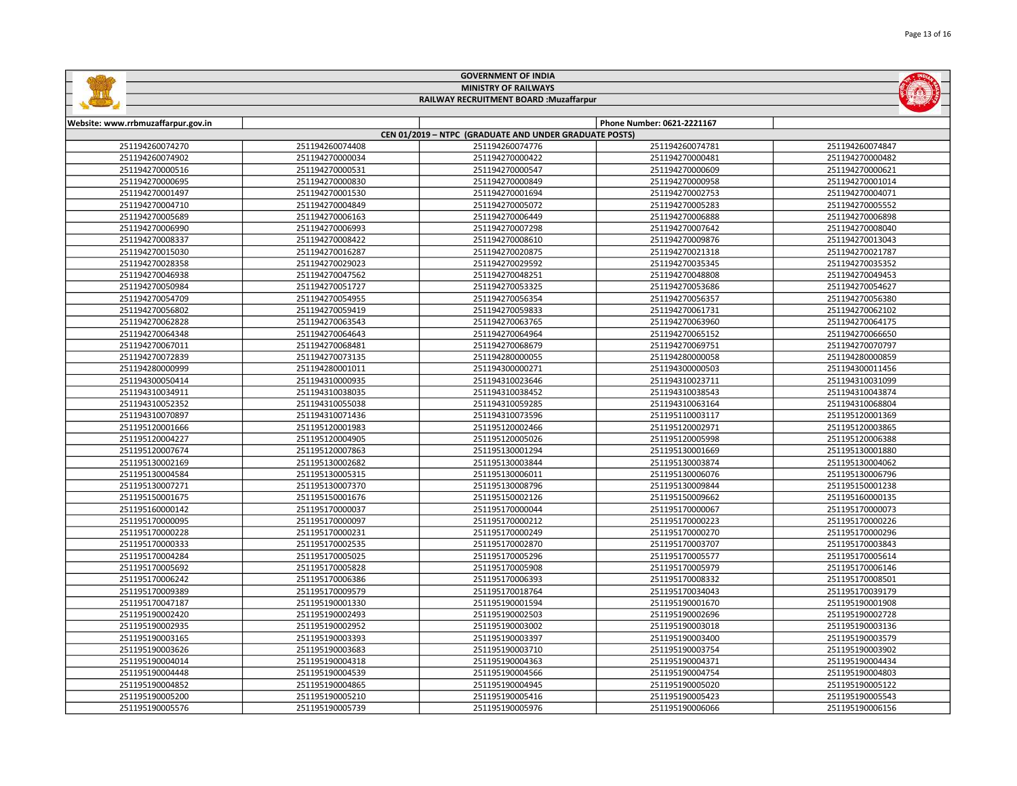| Page 13 of 16 |
|---------------|
|               |



## GOVERNMENT OF INDIA MINISTRY OF RAILWAYS

## RAILWAY RECRUITMENT BOARD :Muzaffarpur

| Website: www.rrbmuzaffarpur.gov.in |                 |                                                        | Phone Number: 0621-2221167 |                 |
|------------------------------------|-----------------|--------------------------------------------------------|----------------------------|-----------------|
|                                    |                 | CEN 01/2019 - NTPC (GRADUATE AND UNDER GRADUATE POSTS) |                            |                 |
| 251194260074270                    | 251194260074408 | 251194260074776                                        | 251194260074781            | 251194260074847 |
| 251194260074902                    | 251194270000034 | 251194270000422                                        | 251194270000481            | 251194270000482 |
| 251194270000516                    | 251194270000531 | 251194270000547                                        | 251194270000609            | 251194270000621 |
| 251194270000695                    | 251194270000830 | 251194270000849                                        | 251194270000958            | 251194270001014 |
| 251194270001497                    | 251194270001530 | 251194270001694                                        | 251194270002753            | 251194270004071 |
| 251194270004710                    | 251194270004849 | 251194270005072                                        | 251194270005283            | 251194270005552 |
| 251194270005689                    | 251194270006163 | 251194270006449                                        | 251194270006888            | 251194270006898 |
| 251194270006990                    | 251194270006993 | 251194270007298                                        | 251194270007642            | 251194270008040 |
| 251194270008337                    | 251194270008422 | 251194270008610                                        | 251194270009876            | 251194270013043 |
| 251194270015030                    | 251194270016287 | 251194270020875                                        | 251194270021318            | 251194270021787 |
| 251194270028358                    | 251194270029023 | 251194270029592                                        | 251194270035345            | 251194270035352 |
| 251194270046938                    | 251194270047562 | 251194270048251                                        | 251194270048808            | 251194270049453 |
| 251194270050984                    | 251194270051727 | 251194270053325                                        | 251194270053686            | 251194270054627 |
| 251194270054709                    | 251194270054955 | 251194270056354                                        | 251194270056357            | 251194270056380 |
| 251194270056802                    | 251194270059419 | 251194270059833                                        | 251194270061731            | 251194270062102 |
| 251194270062828                    | 251194270063543 | 251194270063765                                        | 251194270063960            | 251194270064175 |
| 251194270064348                    | 251194270064643 | 251194270064964                                        | 251194270065152            | 251194270066650 |
| 251194270067011                    | 251194270068481 | 251194270068679                                        | 251194270069751            | 251194270070797 |
| 251194270072839                    | 251194270073135 | 251194280000055                                        | 251194280000058            | 251194280000859 |
| 251194280000999                    | 251194280001011 | 251194300000271                                        | 251194300000503            | 251194300011456 |
| 251194300050414                    | 251194310000935 | 251194310023646                                        | 251194310023711            | 251194310031099 |
| 251194310034911                    | 251194310038035 | 251194310038452                                        | 251194310038543            | 251194310043874 |
| 251194310052352                    | 251194310055038 | 251194310059285                                        | 251194310063164            | 251194310068804 |
| 251194310070897                    | 251194310071436 | 251194310073596                                        | 251195110003117            | 251195120001369 |
| 251195120001666                    | 251195120001983 | 251195120002466                                        | 251195120002971            | 251195120003865 |
| 251195120004227                    | 251195120004905 | 251195120005026                                        | 251195120005998            | 251195120006388 |
| 251195120007674                    | 251195120007863 | 251195130001294                                        | 251195130001669            | 251195130001880 |
| 251195130002169                    | 251195130002682 | 251195130003844                                        | 251195130003874            | 251195130004062 |
| 251195130004584                    | 251195130005315 | 251195130006011                                        | 251195130006076            | 251195130006796 |
| 251195130007271                    | 251195130007370 | 251195130008796                                        | 251195130009844            | 251195150001238 |
| 251195150001675                    | 251195150001676 | 251195150002126                                        | 251195150009662            | 251195160000135 |
| 251195160000142                    | 251195170000037 | 251195170000044                                        | 251195170000067            | 251195170000073 |
| 251195170000095                    | 251195170000097 | 251195170000212                                        | 251195170000223            | 251195170000226 |
| 251195170000228                    | 251195170000231 | 251195170000249                                        | 251195170000270            | 251195170000296 |
| 251195170000333                    | 251195170002535 | 251195170002870                                        | 251195170003707            | 251195170003843 |
| 251195170004284                    | 251195170005025 | 251195170005296                                        | 251195170005577            | 251195170005614 |
| 251195170005692                    | 251195170005828 | 251195170005908                                        | 251195170005979            | 251195170006146 |
| 251195170006242                    | 251195170006386 | 251195170006393                                        | 251195170008332            | 251195170008501 |
| 251195170009389                    | 251195170009579 | 251195170018764                                        | 251195170034043            | 251195170039179 |
| 251195170047187                    | 251195190001330 | 251195190001594                                        | 251195190001670            | 251195190001908 |
| 251195190002420                    | 251195190002493 | 251195190002503                                        | 251195190002696            | 251195190002728 |
| 251195190002935                    | 251195190002952 | 251195190003002                                        | 251195190003018            | 251195190003136 |
| 251195190003165                    | 251195190003393 | 251195190003397                                        | 251195190003400            | 251195190003579 |
| 251195190003626                    | 251195190003683 | 251195190003710                                        | 251195190003754            | 251195190003902 |
| 251195190004014                    | 251195190004318 | 251195190004363                                        | 251195190004371            | 251195190004434 |
| 251195190004448                    | 251195190004539 | 251195190004566                                        | 251195190004754            | 251195190004803 |
| 251195190004852                    | 251195190004865 | 251195190004945                                        | 251195190005020            | 251195190005122 |
| 251195190005200                    | 251195190005210 | 251195190005416                                        | 251195190005423            | 251195190005543 |
| 251195190005576                    | 251195190005739 | 251195190005976                                        | 251195190006066            | 251195190006156 |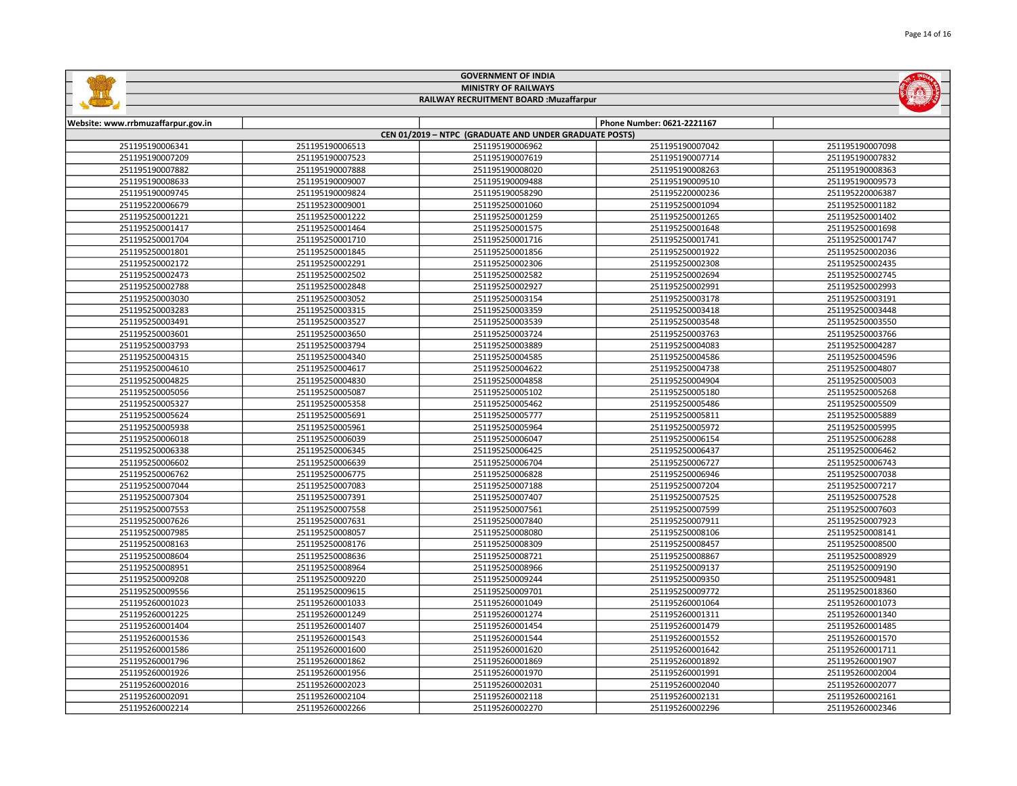|                                    |                 | <b>GOVERNMENT OF INDIA</b>                             |                            |                 |
|------------------------------------|-----------------|--------------------------------------------------------|----------------------------|-----------------|
|                                    |                 | <b>MINISTRY OF RAILWAYS</b>                            |                            |                 |
|                                    |                 | RAILWAY RECRUITMENT BOARD : Muzaffarpur                |                            |                 |
|                                    |                 |                                                        |                            |                 |
| Website: www.rrbmuzaffarpur.gov.in |                 |                                                        | Phone Number: 0621-2221167 |                 |
|                                    |                 | CEN 01/2019 - NTPC (GRADUATE AND UNDER GRADUATE POSTS) |                            |                 |
| 251195190006341                    | 251195190006513 | 251195190006962                                        | 251195190007042            | 251195190007098 |
| 251195190007209                    | 251195190007523 | 251195190007619                                        | 251195190007714            | 251195190007832 |
| 251195190007882                    | 251195190007888 | 251195190008020                                        | 251195190008263            | 251195190008363 |
| 251195190008633                    | 251195190009007 | 251195190009488                                        | 251195190009510            | 251195190009573 |
| 251195190009745                    | 251195190009824 | 251195190058290                                        | 251195220000236            | 251195220006387 |
| 251195220006679                    | 251195230009001 | 251195250001060                                        | 251195250001094            | 251195250001182 |
| 251195250001221                    | 251195250001222 | 251195250001259                                        | 251195250001265            | 251195250001402 |
| 251195250001417                    | 251195250001464 | 251195250001575                                        | 251195250001648            | 251195250001698 |
| 251195250001704                    | 251195250001710 | 251195250001716                                        | 251195250001741            | 251195250001747 |
| 251195250001801                    | 251195250001845 | 251195250001856                                        | 251195250001922            | 251195250002036 |
| 251195250002172                    | 251195250002291 | 251195250002306                                        | 251195250002308            | 251195250002435 |
| 251195250002473                    | 251195250002502 | 251195250002582                                        | 251195250002694            | 251195250002745 |
| 251195250002788                    | 251195250002848 | 251195250002927                                        | 251195250002991            | 251195250002993 |
| 251195250003030                    | 251195250003052 | 251195250003154                                        | 251195250003178            | 251195250003191 |
| 251195250003283                    | 251195250003315 | 251195250003359                                        | 251195250003418            | 251195250003448 |
| 251195250003491                    | 251195250003527 | 251195250003539                                        | 251195250003548            | 251195250003550 |
| 251195250003601                    | 251195250003650 | 251195250003724                                        | 251195250003763            | 251195250003766 |
| 251195250003793                    | 251195250003794 | 251195250003889                                        | 251195250004083            | 251195250004287 |
| 251195250004315                    | 251195250004340 | 251195250004585                                        | 251195250004586            | 251195250004596 |
| 251195250004610                    | 251195250004617 | 251195250004622                                        | 251195250004738            | 251195250004807 |
| 251195250004825                    | 251195250004830 | 251195250004858                                        | 251195250004904            | 251195250005003 |
| 251195250005056                    | 251195250005087 | 251195250005102                                        | 251195250005180            | 251195250005268 |
| 251195250005327                    | 251195250005358 | 251195250005462                                        | 251195250005486            | 251195250005509 |
| 251195250005624                    | 251195250005691 | 251195250005777                                        | 251195250005811            | 251195250005889 |
| 251195250005938                    | 251195250005961 | 251195250005964                                        | 251195250005972            | 251195250005995 |
| 251195250006018                    | 251195250006039 | 251195250006047                                        | 251195250006154            | 251195250006288 |
| 251195250006338                    | 251195250006345 | 251195250006425                                        | 251195250006437            | 251195250006462 |
| 251195250006602                    | 251195250006639 | 251195250006704                                        | 251195250006727            | 251195250006743 |
| 251195250006762                    | 251195250006775 | 251195250006828                                        | 251195250006946            | 251195250007038 |
| 251195250007044                    | 251195250007083 | 251195250007188                                        | 251195250007204            | 251195250007217 |
| 251195250007304                    | 251195250007391 | 251195250007407                                        | 251195250007525            | 251195250007528 |
| 251195250007553                    | 251195250007558 | 251195250007561                                        | 251195250007599            | 251195250007603 |
| 251195250007626                    | 251195250007631 | 251195250007840                                        | 251195250007911            | 251195250007923 |
| 251195250007985                    | 251195250008057 | 251195250008080                                        | 251195250008106            | 251195250008141 |
| 251195250008163                    | 251195250008176 | 251195250008309                                        | 251195250008457            | 251195250008500 |

| 251195250006762 | 251195250006775 | 251195250006828 | 251195250006946 | 251195250007038 |
|-----------------|-----------------|-----------------|-----------------|-----------------|
| 251195250007044 | 251195250007083 | 251195250007188 | 251195250007204 | 251195250007217 |
| 251195250007304 | 251195250007391 | 251195250007407 | 251195250007525 | 251195250007528 |
| 251195250007553 | 251195250007558 | 251195250007561 | 251195250007599 | 251195250007603 |
| 251195250007626 | 251195250007631 | 251195250007840 | 251195250007911 | 251195250007923 |
| 251195250007985 | 251195250008057 | 251195250008080 | 251195250008106 | 251195250008141 |
| 251195250008163 | 251195250008176 | 251195250008309 | 251195250008457 | 251195250008500 |
| 251195250008604 | 251195250008636 | 251195250008721 | 251195250008867 | 251195250008929 |
| 251195250008951 | 251195250008964 | 251195250008966 | 251195250009137 | 251195250009190 |
| 251195250009208 | 251195250009220 | 251195250009244 | 251195250009350 | 251195250009481 |
| 251195250009556 | 251195250009615 | 251195250009701 | 251195250009772 | 251195250018360 |
| 251195260001023 | 251195260001033 | 251195260001049 | 251195260001064 | 251195260001073 |
| 251195260001225 | 251195260001249 | 251195260001274 | 251195260001311 | 251195260001340 |
| 251195260001404 | 251195260001407 | 251195260001454 | 251195260001479 | 251195260001485 |
| 251195260001536 | 251195260001543 | 251195260001544 | 251195260001552 | 251195260001570 |
| 251195260001586 | 251195260001600 | 251195260001620 | 251195260001642 | 251195260001711 |
| 251195260001796 | 251195260001862 | 251195260001869 | 251195260001892 | 251195260001907 |
| 251195260001926 | 251195260001956 | 251195260001970 | 251195260001991 | 251195260002004 |
| 251195260002016 | 251195260002023 | 251195260002031 | 251195260002040 | 251195260002077 |
| 251195260002091 | 251195260002104 | 251195260002118 | 251195260002131 | 251195260002161 |
| 251195260002214 | 251195260002266 | 251195260002270 | 251195260002296 | 251195260002346 |

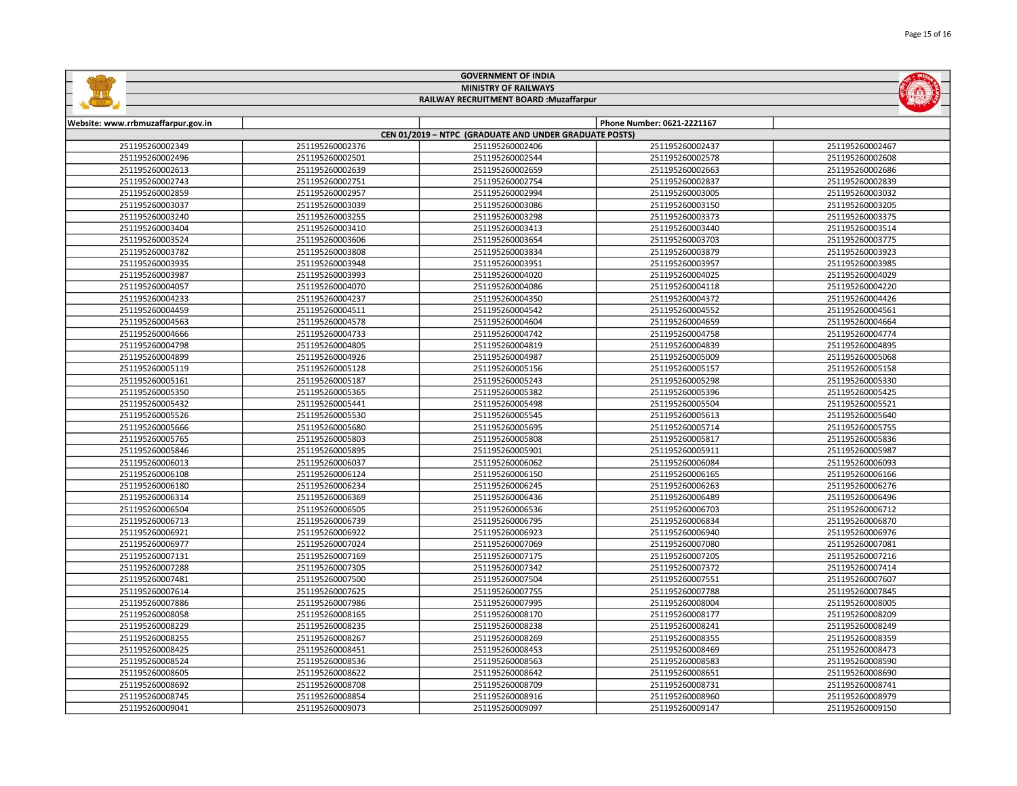|                                         |                 | <b>GOVERNMENT OF INDIA</b>                             |                            |                 |  |
|-----------------------------------------|-----------------|--------------------------------------------------------|----------------------------|-----------------|--|
|                                         |                 | <b>MINISTRY OF RAILWAYS</b>                            |                            |                 |  |
| RAILWAY RECRUITMENT BOARD : Muzaffarpur |                 |                                                        |                            |                 |  |
| Website: www.rrbmuzaffarpur.gov.in      |                 |                                                        | Phone Number: 0621-2221167 |                 |  |
|                                         |                 | CEN 01/2019 - NTPC (GRADUATE AND UNDER GRADUATE POSTS) |                            |                 |  |
| 251195260002349                         | 251195260002376 | 251195260002406                                        | 251195260002437            | 251195260002467 |  |
| 251195260002496                         | 251195260002501 | 251195260002544                                        | 251195260002578            | 251195260002608 |  |
| 251195260002613                         | 251195260002639 | 251195260002659                                        | 251195260002663            | 251195260002686 |  |
| 251195260002743                         | 251195260002751 | 251195260002754                                        | 251195260002837            | 251195260002839 |  |
| 251195260002859                         | 251195260002957 | 251195260002994                                        | 251195260003005            | 251195260003032 |  |
| 251195260003037                         | 251195260003039 | 251195260003086                                        | 251195260003150            | 251195260003205 |  |
| 251195260003240                         | 251195260003255 | 251195260003298                                        | 251195260003373            | 251195260003375 |  |
| 251195260003404                         | 251195260003410 | 251195260003413                                        | 251195260003440            | 251195260003514 |  |
| 251195260003524                         | 251195260003606 | 251195260003654                                        | 251195260003703            | 251195260003775 |  |
| 251195260003782                         | 251195260003808 | 251195260003834                                        | 251195260003879            | 251195260003923 |  |
| 251195260003935                         | 251195260003948 | 251195260003951                                        | 251195260003957            | 251195260003985 |  |
| 251195260003987                         | 251195260003993 | 251195260004020                                        | 251195260004025            | 251195260004029 |  |
| 251195260004057                         | 251195260004070 | 251195260004086                                        | 251195260004118            | 251195260004220 |  |
| 251195260004233                         | 251195260004237 | 251195260004350                                        | 251195260004372            | 251195260004426 |  |
| 251195260004459                         | 251195260004511 | 251195260004542                                        | 251195260004552            | 251195260004561 |  |
| 251195260004563                         | 251195260004578 | 251195260004604                                        | 251195260004659            | 251195260004664 |  |
| 251195260004666                         | 251195260004733 | 251195260004742                                        | 251195260004758            | 251195260004774 |  |
| 251195260004798                         | 251195260004805 | 251195260004819                                        | 251195260004839            | 251195260004895 |  |
| 251195260004899                         | 251195260004926 | 251195260004987                                        | 251195260005009            | 251195260005068 |  |
| 251195260005119                         | 251195260005128 | 251195260005156                                        | 251195260005157            | 251195260005158 |  |
| 251195260005161                         | 251195260005187 | 251195260005243                                        | 251195260005298            | 251195260005330 |  |
| 251195260005350                         | 251195260005365 | 251195260005382                                        | 251195260005396            | 251195260005425 |  |
| 251195260005432                         | 251195260005441 | 251195260005498                                        | 251195260005504            | 251195260005521 |  |
| 251195260005526                         | 251195260005530 | 251195260005545                                        | 251195260005613            | 251195260005640 |  |
| 251195260005666                         | 251195260005680 | 251195260005695                                        | 251195260005714            | 251195260005755 |  |
| 251195260005765                         | 251195260005803 | 251195260005808                                        | 251195260005817            | 251195260005836 |  |
| 251195260005846                         | 251195260005895 | 251195260005901                                        | 251195260005911            | 251195260005987 |  |
| 251195260006013                         | 251195260006037 | 251195260006062                                        | 251195260006084            | 251195260006093 |  |
| 251195260006108                         | 251195260006124 | 251195260006150                                        | 251195260006165            | 251195260006166 |  |

 251195260006234 251195260006245 251195260006263 251195260006276 251195260006369 251195260006436 251195260006489 251195260006496 251195260006505 251195260006536 251195260006703 251195260006712 251195260006739 251195260006795 251195260006834 251195260006870 251195260006922 251195260006923 251195260006940 251195260006976 251195260007024 251195260007069 251195260007080 251195260007081 251195260007169 251195260007175 251195260007205 251195260007216 251195260007305 251195260007342 251195260007372 251195260007414 251195260007500 251195260007504 251195260007551 251195260007607 251195260007625 251195260007755 251195260007788 251195260007845 251195260007986 251195260007995 251195260008004 251195260008005 251195260008165 251195260008170 251195260008177 251195260008209 251195260008235 251195260008238 251195260008241 251195260008249 251195260008267 251195260008269 251195260008355 251195260008359 251195260008451 251195260008453 251195260008469 251195260008473 251195260008536 251195260008563 251195260008583 251195260008590 251195260008622 251195260008642 251195260008651 251195260008690 251195260008708 251195260008709 251195260008731 251195260008741 251195260008854 251195260008916 251195260008960 251195260008979 251195260009073 251195260009097 251195260009147 251195260009150